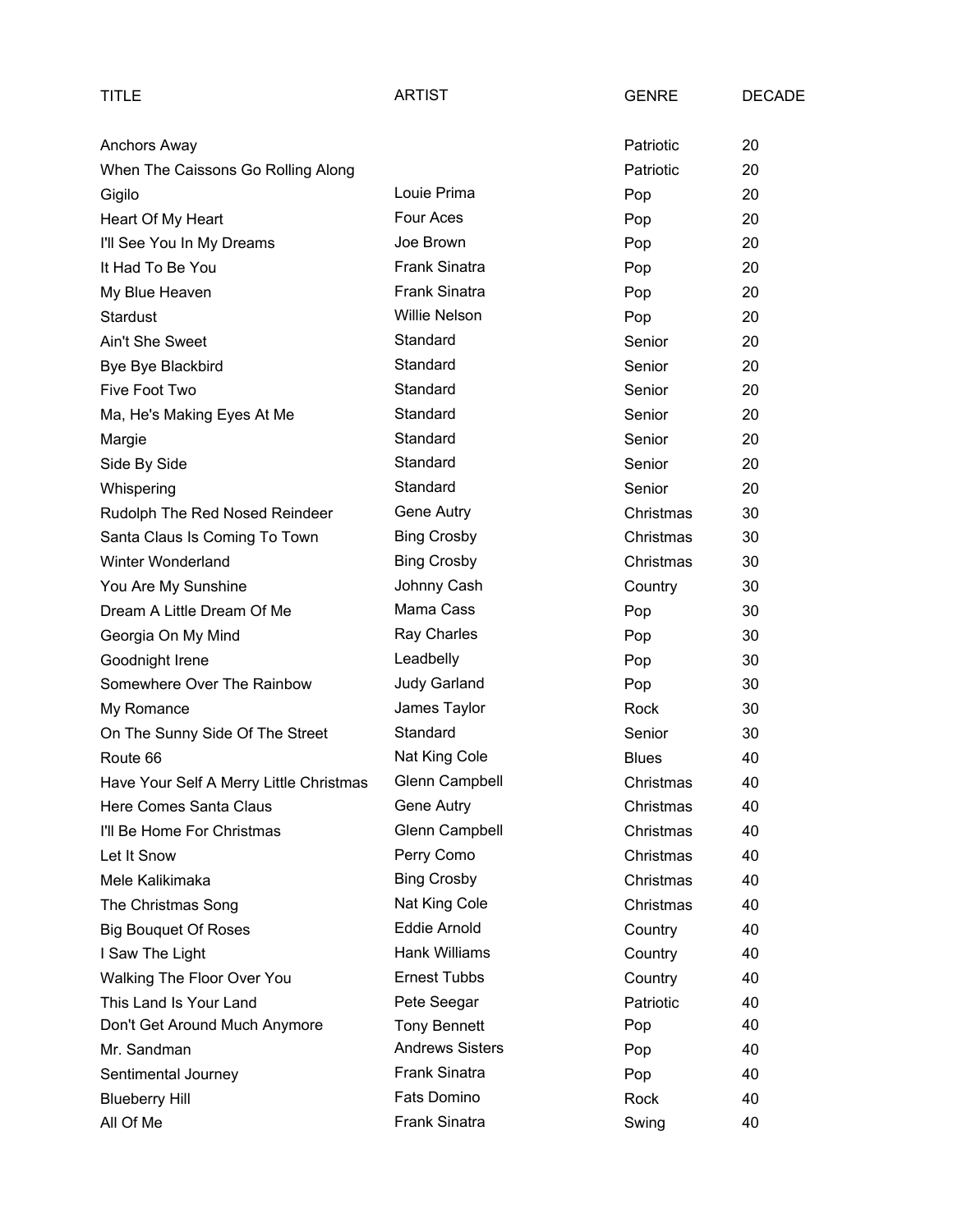| TITLE                                   | <b>ARTIST</b>          | <b>GENRE</b> | <b>DECADE</b> |
|-----------------------------------------|------------------------|--------------|---------------|
| Anchors Away                            |                        | Patriotic    | 20            |
| When The Caissons Go Rolling Along      |                        | Patriotic    | 20            |
| Gigilo                                  | Louie Prima            | Pop          | 20            |
| Heart Of My Heart                       | Four Aces              | Pop          | 20            |
| I'll See You In My Dreams               | Joe Brown              | Pop          | 20            |
| It Had To Be You                        | <b>Frank Sinatra</b>   | Pop          | 20            |
| My Blue Heaven                          | <b>Frank Sinatra</b>   | Pop          | 20            |
| <b>Stardust</b>                         | <b>Willie Nelson</b>   | Pop          | 20            |
| Ain't She Sweet                         | Standard               | Senior       | 20            |
| Bye Bye Blackbird                       | Standard               | Senior       | 20            |
| Five Foot Two                           | Standard               | Senior       | 20            |
| Ma, He's Making Eyes At Me              | Standard               | Senior       | 20            |
| Margie                                  | Standard               | Senior       | 20            |
| Side By Side                            | Standard               | Senior       | 20            |
| Whispering                              | Standard               | Senior       | 20            |
| Rudolph The Red Nosed Reindeer          | Gene Autry             | Christmas    | 30            |
| Santa Claus Is Coming To Town           | <b>Bing Crosby</b>     | Christmas    | 30            |
| Winter Wonderland                       | <b>Bing Crosby</b>     | Christmas    | 30            |
| You Are My Sunshine                     | Johnny Cash            | Country      | 30            |
| Dream A Little Dream Of Me              | Mama Cass              | Pop          | 30            |
| Georgia On My Mind                      | Ray Charles            | Pop          | 30            |
| Goodnight Irene                         | Leadbelly              | Pop          | 30            |
| Somewhere Over The Rainbow              | <b>Judy Garland</b>    | Pop          | 30            |
| My Romance                              | James Taylor           | Rock         | 30            |
| On The Sunny Side Of The Street         | Standard               | Senior       | 30            |
| Route 66                                | Nat King Cole          | <b>Blues</b> | 40            |
| Have Your Self A Merry Little Christmas | Glenn Campbell         | Christmas    | 40            |
| Here Comes Santa Claus                  | Gene Autry             | Christmas    | 40            |
| I'll Be Home For Christmas              | Glenn Campbell         | Christmas    | 40            |
| Let It Snow                             | Perry Como             | Christmas    | 40            |
| Mele Kalikimaka                         | <b>Bing Crosby</b>     | Christmas    | 40            |
| The Christmas Song                      | Nat King Cole          | Christmas    | 40            |
| <b>Big Bouquet Of Roses</b>             | Eddie Arnold           | Country      | 40            |
| I Saw The Light                         | Hank Williams          | Country      | 40            |
| Walking The Floor Over You              | <b>Ernest Tubbs</b>    | Country      | 40            |
| This Land Is Your Land                  | Pete Seegar            | Patriotic    | 40            |
| Don't Get Around Much Anymore           | <b>Tony Bennett</b>    | Pop          | 40            |
| Mr. Sandman                             | <b>Andrews Sisters</b> | Pop          | 40            |
| Sentimental Journey                     | <b>Frank Sinatra</b>   | Pop          | 40            |
| <b>Blueberry Hill</b>                   | Fats Domino            | Rock         | 40            |
| All Of Me                               | Frank Sinatra          | Swing        | 40            |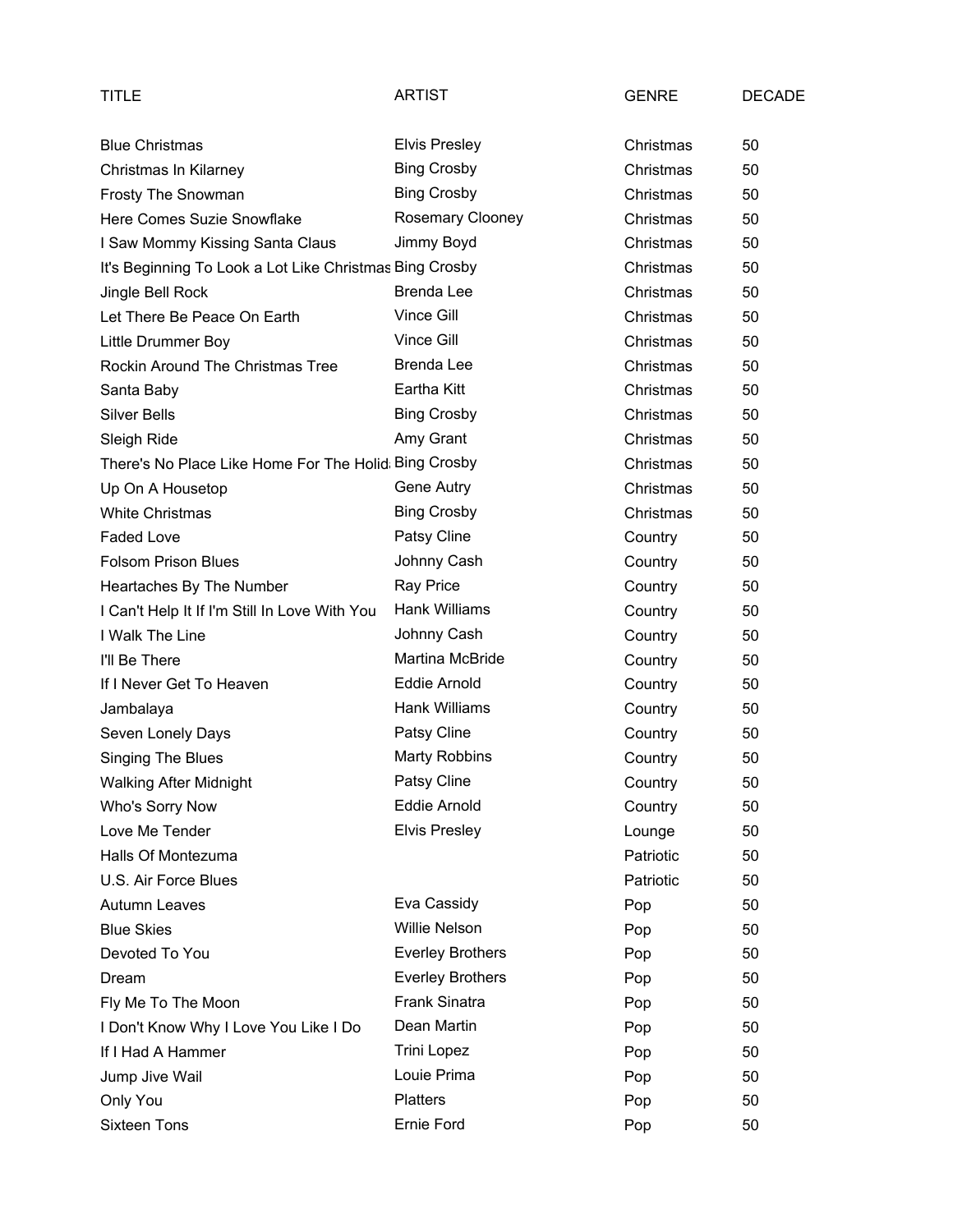| TITLE                                                   | <b>ARTIST</b>           | <b>GENRE</b> | <b>DECADE</b> |
|---------------------------------------------------------|-------------------------|--------------|---------------|
| <b>Blue Christmas</b>                                   | <b>Elvis Presley</b>    | Christmas    | 50            |
| Christmas In Kilarney                                   | <b>Bing Crosby</b>      | Christmas    | 50            |
| Frosty The Snowman                                      | <b>Bing Crosby</b>      | Christmas    | 50            |
| Here Comes Suzie Snowflake                              | Rosemary Clooney        | Christmas    | 50            |
| I Saw Mommy Kissing Santa Claus                         | Jimmy Boyd              | Christmas    | 50            |
| It's Beginning To Look a Lot Like Christmas Bing Crosby |                         | Christmas    | 50            |
| Jingle Bell Rock                                        | <b>Brenda Lee</b>       | Christmas    | 50            |
| Let There Be Peace On Earth                             | Vince Gill              | Christmas    | 50            |
| Little Drummer Boy                                      | Vince Gill              | Christmas    | 50            |
| <b>Rockin Around The Christmas Tree</b>                 | Brenda Lee              | Christmas    | 50            |
| Santa Baby                                              | Eartha Kitt             | Christmas    | 50            |
| <b>Silver Bells</b>                                     | <b>Bing Crosby</b>      | Christmas    | 50            |
| Sleigh Ride                                             | Amy Grant               | Christmas    | 50            |
| There's No Place Like Home For The Holid Bing Crosby    |                         | Christmas    | 50            |
| Up On A Housetop                                        | Gene Autry              | Christmas    | 50            |
| <b>White Christmas</b>                                  | <b>Bing Crosby</b>      | Christmas    | 50            |
| <b>Faded Love</b>                                       | Patsy Cline             | Country      | 50            |
| <b>Folsom Prison Blues</b>                              | Johnny Cash             | Country      | 50            |
| Heartaches By The Number                                | Ray Price               | Country      | 50            |
| I Can't Help It If I'm Still In Love With You           | Hank Williams           | Country      | 50            |
| I Walk The Line                                         | Johnny Cash             | Country      | 50            |
| I'll Be There                                           | Martina McBride         | Country      | 50            |
| If I Never Get To Heaven                                | <b>Eddie Arnold</b>     | Country      | 50            |
| Jambalaya                                               | <b>Hank Williams</b>    | Country      | 50            |
| Seven Lonely Days                                       | Patsy Cline             | Country      | 50            |
| <b>Singing The Blues</b>                                | <b>Marty Robbins</b>    | Country      | 50            |
| <b>Walking After Midnight</b>                           | Patsy Cline             | Country      | 50            |
| Who's Sorry Now                                         | Eddie Arnold            | Country      | 50            |
| Love Me Tender                                          | <b>Elvis Presley</b>    | Lounge       | 50            |
| Halls Of Montezuma                                      |                         | Patriotic    | 50            |
| U.S. Air Force Blues                                    |                         | Patriotic    | 50            |
| <b>Autumn Leaves</b>                                    | Eva Cassidy             | Pop          | 50            |
| <b>Blue Skies</b>                                       | <b>Willie Nelson</b>    | Pop          | 50            |
| Devoted To You                                          | <b>Everley Brothers</b> | Pop          | 50            |
| Dream                                                   | <b>Everley Brothers</b> | Pop          | 50            |
| Fly Me To The Moon                                      | Frank Sinatra           | Pop          | 50            |
| I Don't Know Why I Love You Like I Do                   | Dean Martin             | Pop          | 50            |
| If I Had A Hammer                                       | <b>Trini Lopez</b>      | Pop          | 50            |
| Jump Jive Wail                                          | Louie Prima             | Pop          | 50            |
| Only You                                                | <b>Platters</b>         | Pop          | 50            |
| Sixteen Tons                                            | Ernie Ford              | Pop          | 50            |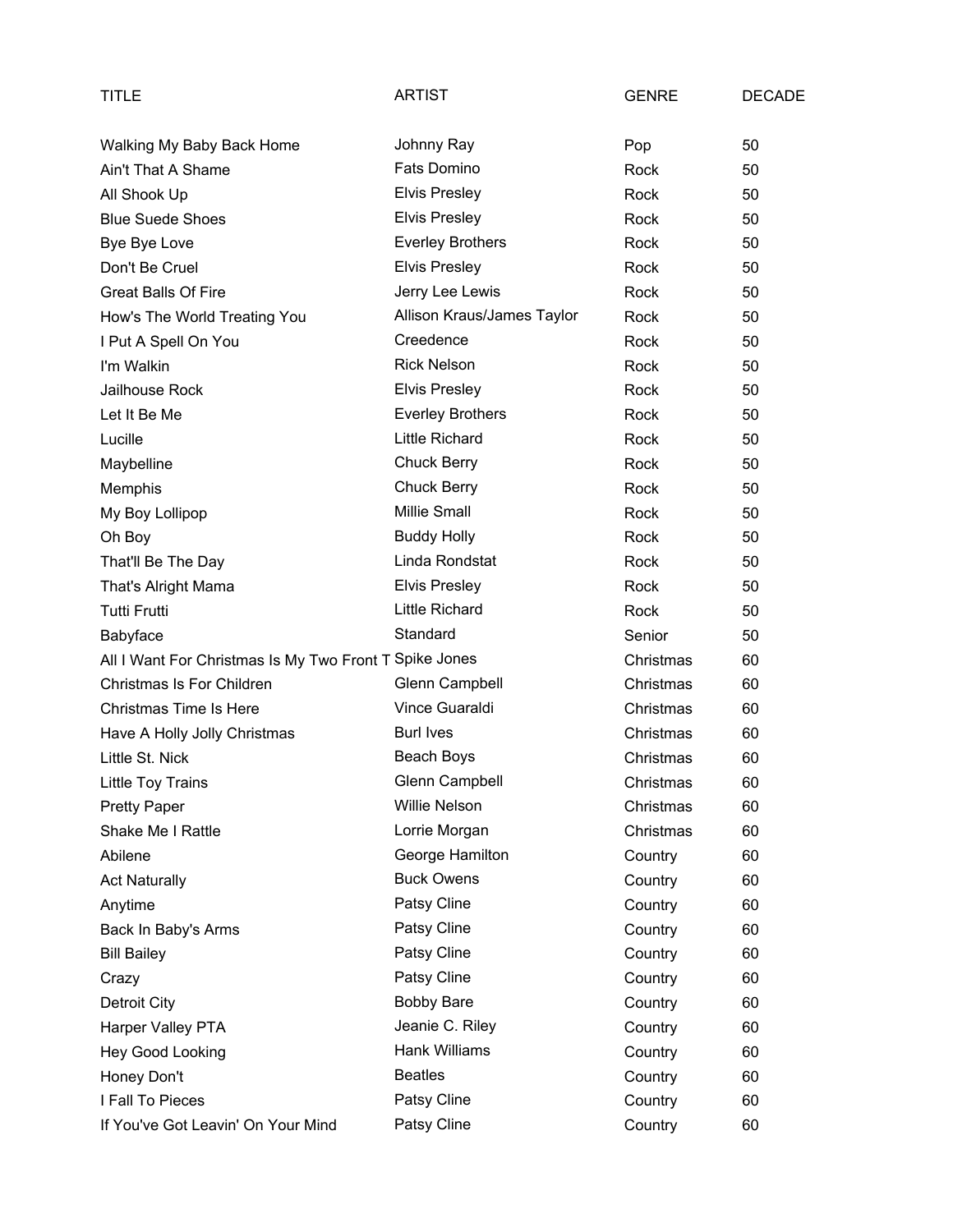| TITLE                                                  | ARTIST                     | <b>GENRE</b> | <b>DECADE</b> |
|--------------------------------------------------------|----------------------------|--------------|---------------|
| Walking My Baby Back Home                              | Johnny Ray                 | Pop          | 50            |
| Ain't That A Shame                                     | <b>Fats Domino</b>         | Rock         | 50            |
| All Shook Up                                           | <b>Elvis Presley</b>       | Rock         | 50            |
| <b>Blue Suede Shoes</b>                                | <b>Elvis Presley</b>       | Rock         | 50            |
| Bye Bye Love                                           | <b>Everley Brothers</b>    | Rock         | 50            |
| Don't Be Cruel                                         | <b>Elvis Presley</b>       | Rock         | 50            |
| <b>Great Balls Of Fire</b>                             | Jerry Lee Lewis            | Rock         | 50            |
| How's The World Treating You                           | Allison Kraus/James Taylor | Rock         | 50            |
| I Put A Spell On You                                   | Creedence                  | Rock         | 50            |
| I'm Walkin                                             | <b>Rick Nelson</b>         | Rock         | 50            |
| Jailhouse Rock                                         | <b>Elvis Presley</b>       | Rock         | 50            |
| Let It Be Me                                           | <b>Everley Brothers</b>    | Rock         | 50            |
| Lucille                                                | <b>Little Richard</b>      | Rock         | 50            |
| Maybelline                                             | <b>Chuck Berry</b>         | Rock         | 50            |
| Memphis                                                | <b>Chuck Berry</b>         | Rock         | 50            |
| My Boy Lollipop                                        | <b>Millie Small</b>        | Rock         | 50            |
| Oh Boy                                                 | <b>Buddy Holly</b>         | Rock         | 50            |
| That'll Be The Day                                     | Linda Rondstat             | Rock         | 50            |
| That's Alright Mama                                    | <b>Elvis Presley</b>       | Rock         | 50            |
| <b>Tutti Frutti</b>                                    | <b>Little Richard</b>      | Rock         | 50            |
| Babyface                                               | Standard                   | Senior       | 50            |
| All I Want For Christmas Is My Two Front T Spike Jones |                            | Christmas    | 60            |
| Christmas Is For Children                              | Glenn Campbell             | Christmas    | 60            |
| <b>Christmas Time Is Here</b>                          | Vince Guaraldi             | Christmas    | 60            |
| Have A Holly Jolly Christmas                           | <b>Burl Ives</b>           | Christmas    | 60            |
| Little St. Nick                                        | Beach Boys                 | Christmas    | 60            |
| Little Toy Trains                                      | Glenn Campbell             | Christmas    | 60            |
| <b>Pretty Paper</b>                                    | <b>Willie Nelson</b>       | Christmas    | 60            |
| Shake Me I Rattle                                      | Lorrie Morgan              | Christmas    | 60            |
| Abilene                                                | George Hamilton            | Country      | 60            |
| <b>Act Naturally</b>                                   | <b>Buck Owens</b>          | Country      | 60            |
| Anytime                                                | Patsy Cline                | Country      | 60            |
| Back In Baby's Arms                                    | Patsy Cline                | Country      | 60            |
| <b>Bill Bailey</b>                                     | Patsy Cline                | Country      | 60            |
| Crazy                                                  | Patsy Cline                | Country      | 60            |
| Detroit City                                           | <b>Bobby Bare</b>          | Country      | 60            |
| Harper Valley PTA                                      | Jeanie C. Riley            | Country      | 60            |
| Hey Good Looking                                       | Hank Williams              | Country      | 60            |
| Honey Don't                                            | <b>Beatles</b>             | Country      | 60            |
| I Fall To Pieces                                       | Patsy Cline                | Country      | 60            |
| If You've Got Leavin' On Your Mind                     | Patsy Cline                | Country      | 60            |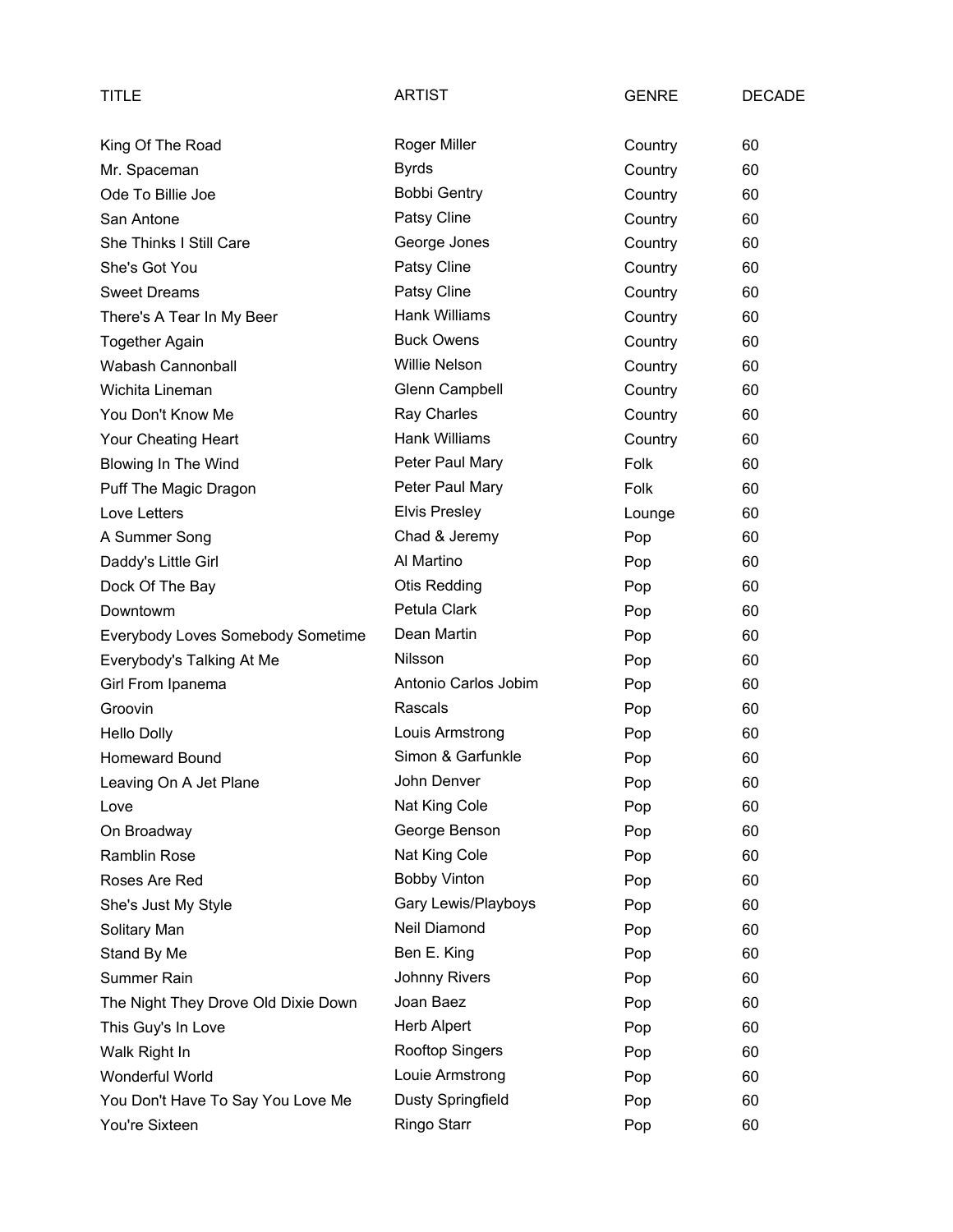| TITLE                               | <b>ARTIST</b>        | <b>GENRE</b> | <b>DECADE</b> |
|-------------------------------------|----------------------|--------------|---------------|
| King Of The Road                    | <b>Roger Miller</b>  | Country      | 60            |
| Mr. Spaceman                        | <b>Byrds</b>         | Country      | 60            |
| Ode To Billie Joe                   | <b>Bobbi Gentry</b>  | Country      | 60            |
| San Antone                          | Patsy Cline          | Country      | 60            |
| <b>She Thinks I Still Care</b>      | George Jones         | Country      | 60            |
| She's Got You                       | Patsy Cline          | Country      | 60            |
| <b>Sweet Dreams</b>                 | Patsy Cline          | Country      | 60            |
| There's A Tear In My Beer           | <b>Hank Williams</b> | Country      | 60            |
| <b>Together Again</b>               | <b>Buck Owens</b>    | Country      | 60            |
| Wabash Cannonball                   | <b>Willie Nelson</b> | Country      | 60            |
| Wichita Lineman                     | Glenn Campbell       | Country      | 60            |
| You Don't Know Me                   | Ray Charles          | Country      | 60            |
| Your Cheating Heart                 | Hank Williams        | Country      | 60            |
| Blowing In The Wind                 | Peter Paul Mary      | Folk         | 60            |
| Puff The Magic Dragon               | Peter Paul Mary      | Folk         | 60            |
| Love Letters                        | <b>Elvis Presley</b> | Lounge       | 60            |
| A Summer Song                       | Chad & Jeremy        | Pop          | 60            |
| Daddy's Little Girl                 | Al Martino           | Pop          | 60            |
| Dock Of The Bay                     | <b>Otis Redding</b>  | Pop          | 60            |
| Downtowm                            | Petula Clark         | Pop          | 60            |
| Everybody Loves Somebody Sometime   | Dean Martin          | Pop          | 60            |
| Everybody's Talking At Me           | Nilsson              | Pop          | 60            |
| Girl From Ipanema                   | Antonio Carlos Jobim | Pop          | 60            |
| Groovin                             | Rascals              | Pop          | 60            |
| <b>Hello Dolly</b>                  | Louis Armstrong      | Pop          | 60            |
| Homeward Bound                      | Simon & Garfunkle    | Pop          | 60            |
| Leaving On A Jet Plane              | John Denver          | Pop          | 60            |
| Love                                | Nat King Cole        | Pop          | 60            |
| On Broadway                         | George Benson        | Pop          | 60            |
| Ramblin Rose                        | Nat King Cole        | Pop          | 60            |
| Roses Are Red                       | <b>Bobby Vinton</b>  | Pop          | 60            |
| She's Just My Style                 | Gary Lewis/Playboys  | Pop          | 60            |
| Solitary Man                        | Neil Diamond         | Pop          | 60            |
| Stand By Me                         | Ben E. King          | Pop          | 60            |
| <b>Summer Rain</b>                  | <b>Johnny Rivers</b> | Pop          | 60            |
| The Night They Drove Old Dixie Down | Joan Baez            | Pop          | 60            |
| This Guy's In Love                  | Herb Alpert          | Pop          | 60            |
| Walk Right In                       | Rooftop Singers      | Pop          | 60            |
| Wonderful World                     | Louie Armstrong      | Pop          | 60            |
| You Don't Have To Say You Love Me   | Dusty Springfield    | Pop          | 60            |
| You're Sixteen                      | Ringo Starr          | Pop          | 60            |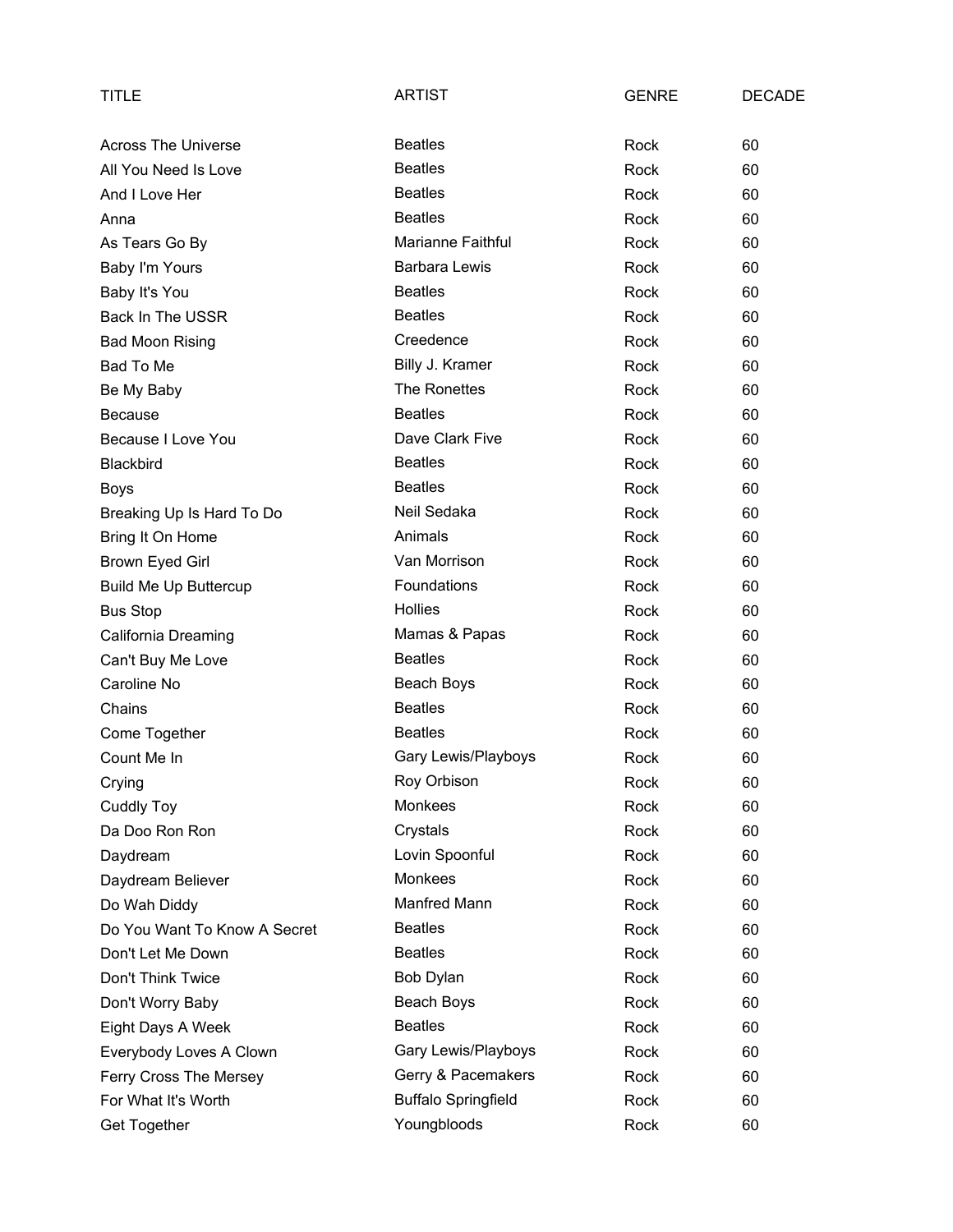| TITLE                        | <b>ARTIST</b>              | <b>GENRE</b> | <b>DECADE</b> |
|------------------------------|----------------------------|--------------|---------------|
| Across The Universe          | <b>Beatles</b>             | Rock         | 60            |
| All You Need Is Love         | <b>Beatles</b>             | Rock         | 60            |
| And I Love Her               | <b>Beatles</b>             | Rock         | 60            |
| Anna                         | <b>Beatles</b>             | Rock         | 60            |
| As Tears Go By               | <b>Marianne Faithful</b>   | Rock         | 60            |
| Baby I'm Yours               | <b>Barbara Lewis</b>       | Rock         | 60            |
| Baby It's You                | <b>Beatles</b>             | Rock         | 60            |
| Back In The USSR             | <b>Beatles</b>             | Rock         | 60            |
| <b>Bad Moon Rising</b>       | Creedence                  | Rock         | 60            |
| Bad To Me                    | Billy J. Kramer            | Rock         | 60            |
| Be My Baby                   | The Ronettes               | Rock         | 60            |
| <b>Because</b>               | <b>Beatles</b>             | Rock         | 60            |
| Because I Love You           | Dave Clark Five            | Rock         | 60            |
| Blackbird                    | <b>Beatles</b>             | Rock         | 60            |
| <b>Boys</b>                  | <b>Beatles</b>             | Rock         | 60            |
| Breaking Up Is Hard To Do    | Neil Sedaka                | Rock         | 60            |
| Bring It On Home             | Animals                    | Rock         | 60            |
| Brown Eyed Girl              | Van Morrison               | Rock         | 60            |
| <b>Build Me Up Buttercup</b> | Foundations                | Rock         | 60            |
| <b>Bus Stop</b>              | <b>Hollies</b>             | Rock         | 60            |
| California Dreaming          | Mamas & Papas              | Rock         | 60            |
| Can't Buy Me Love            | <b>Beatles</b>             | Rock         | 60            |
| Caroline No                  | Beach Boys                 | Rock         | 60            |
| Chains                       | <b>Beatles</b>             | Rock         | 60            |
| Come Together                | <b>Beatles</b>             | Rock         | 60            |
| Count Me In                  | Gary Lewis/Playboys        | Rock         | 60            |
| Crying                       | Roy Orbison                | Rock         | 60            |
| <b>Cuddly Toy</b>            | Monkees                    | Rock         | 60            |
| Da Doo Ron Ron               | Crystals                   | Rock         | 60            |
| Daydream                     | Lovin Spoonful             | Rock         | 60            |
| Daydream Believer            | <b>Monkees</b>             | Rock         | 60            |
| Do Wah Diddy                 | Manfred Mann               | Rock         | 60            |
| Do You Want To Know A Secret | <b>Beatles</b>             | Rock         | 60            |
| Don't Let Me Down            | <b>Beatles</b>             | Rock         | 60            |
| Don't Think Twice            | Bob Dylan                  | Rock         | 60            |
| Don't Worry Baby             | Beach Boys                 | Rock         | 60            |
| Eight Days A Week            | <b>Beatles</b>             | Rock         | 60            |
| Everybody Loves A Clown      | Gary Lewis/Playboys        | Rock         | 60            |
| Ferry Cross The Mersey       | Gerry & Pacemakers         | Rock         | 60            |
| For What It's Worth          | <b>Buffalo Springfield</b> | Rock         | 60            |
| Get Together                 | Youngbloods                | Rock         | 60            |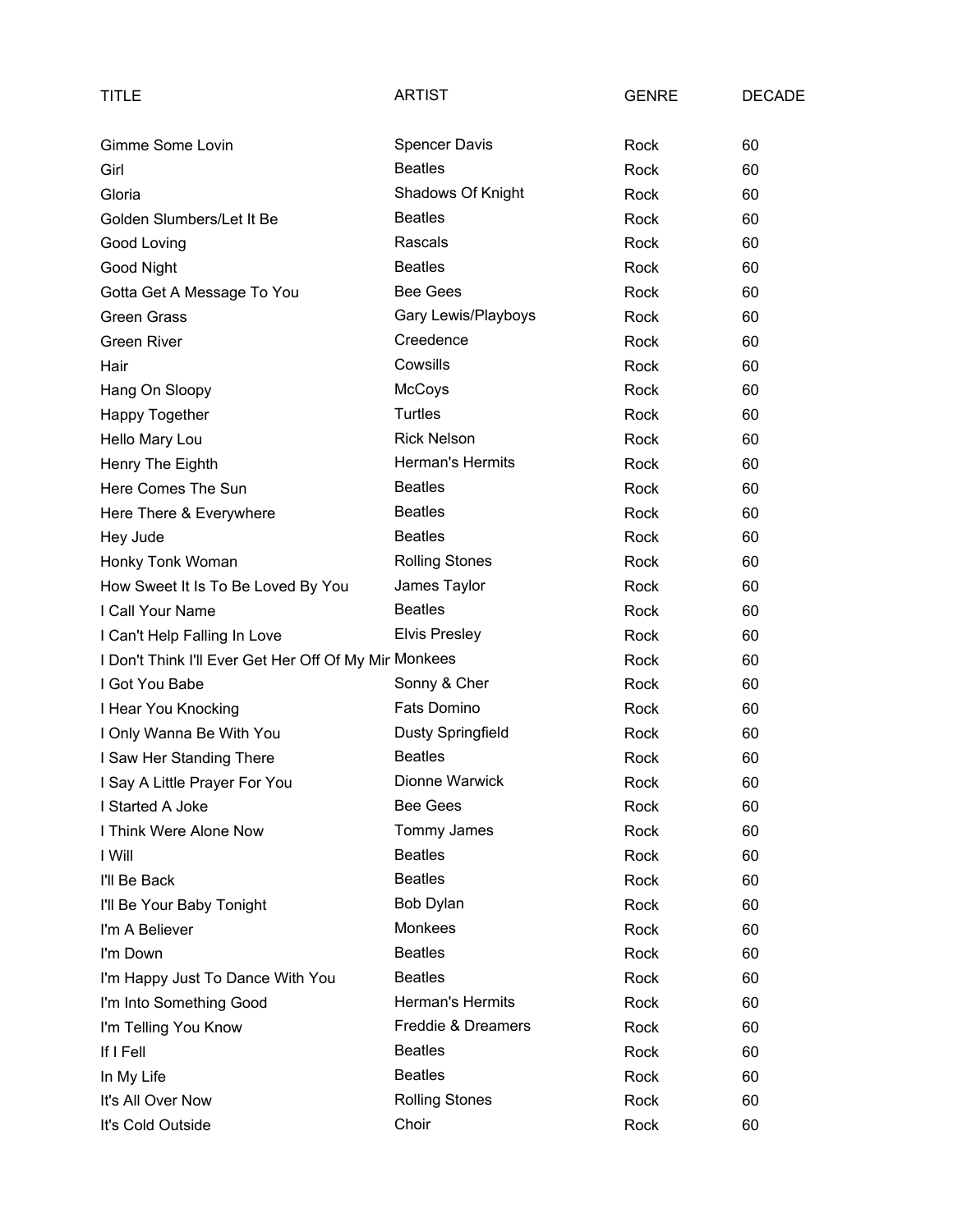| TITLE                                                 | <b>ARTIST</b>            | <b>GENRE</b> | <b>DECADE</b> |
|-------------------------------------------------------|--------------------------|--------------|---------------|
| Gimme Some Lovin                                      | <b>Spencer Davis</b>     | Rock         | 60            |
| Girl                                                  | <b>Beatles</b>           | Rock         | 60            |
| Gloria                                                | Shadows Of Knight        | Rock         | 60            |
| Golden Slumbers/Let It Be                             | <b>Beatles</b>           | Rock         | 60            |
| Good Loving                                           | Rascals                  | Rock         | 60            |
| Good Night                                            | <b>Beatles</b>           | Rock         | 60            |
| Gotta Get A Message To You                            | <b>Bee Gees</b>          | Rock         | 60            |
| <b>Green Grass</b>                                    | Gary Lewis/Playboys      | Rock         | 60            |
| <b>Green River</b>                                    | Creedence                | Rock         | 60            |
| Hair                                                  | Cowsills                 | Rock         | 60            |
| Hang On Sloopy                                        | McCoys                   | Rock         | 60            |
| Happy Together                                        | <b>Turtles</b>           | Rock         | 60            |
| Hello Mary Lou                                        | <b>Rick Nelson</b>       | Rock         | 60            |
| Henry The Eighth                                      | Herman's Hermits         | Rock         | 60            |
| Here Comes The Sun                                    | <b>Beatles</b>           | Rock         | 60            |
| Here There & Everywhere                               | <b>Beatles</b>           | Rock         | 60            |
| Hey Jude                                              | <b>Beatles</b>           | Rock         | 60            |
| Honky Tonk Woman                                      | <b>Rolling Stones</b>    | Rock         | 60            |
| How Sweet It Is To Be Loved By You                    | James Taylor             | Rock         | 60            |
| I Call Your Name                                      | <b>Beatles</b>           | Rock         | 60            |
| I Can't Help Falling In Love                          | <b>Elvis Presley</b>     | Rock         | 60            |
| I Don't Think I'll Ever Get Her Off Of My Mir Monkees |                          | Rock         | 60            |
| I Got You Babe                                        | Sonny & Cher             | Rock         | 60            |
| I Hear You Knocking                                   | Fats Domino              | Rock         | 60            |
| I Only Wanna Be With You                              | <b>Dusty Springfield</b> | Rock         | 60            |
| I Saw Her Standing There                              | <b>Beatles</b>           | Rock         | 60            |
| I Say A Little Prayer For You                         | Dionne Warwick           | Rock         | 60            |
| I Started A Joke                                      | Bee Gees                 | Rock         | 60            |
| I Think Were Alone Now                                | Tommy James              | Rock         | 60            |
| I Will                                                | <b>Beatles</b>           | Rock         | 60            |
| I'll Be Back                                          | <b>Beatles</b>           | Rock         | 60            |
| I'll Be Your Baby Tonight                             | Bob Dylan                | Rock         | 60            |
| I'm A Believer                                        | Monkees                  | Rock         | 60            |
| I'm Down                                              | <b>Beatles</b>           | Rock         | 60            |
| I'm Happy Just To Dance With You                      | <b>Beatles</b>           | Rock         | 60            |
| I'm Into Something Good                               | <b>Herman's Hermits</b>  | Rock         | 60            |
| I'm Telling You Know                                  | Freddie & Dreamers       | Rock         | 60            |
| If I Fell                                             | <b>Beatles</b>           | Rock         | 60            |
| In My Life                                            | <b>Beatles</b>           | Rock         | 60            |
| It's All Over Now                                     | <b>Rolling Stones</b>    | Rock         | 60            |
| It's Cold Outside                                     | Choir                    | Rock         | 60            |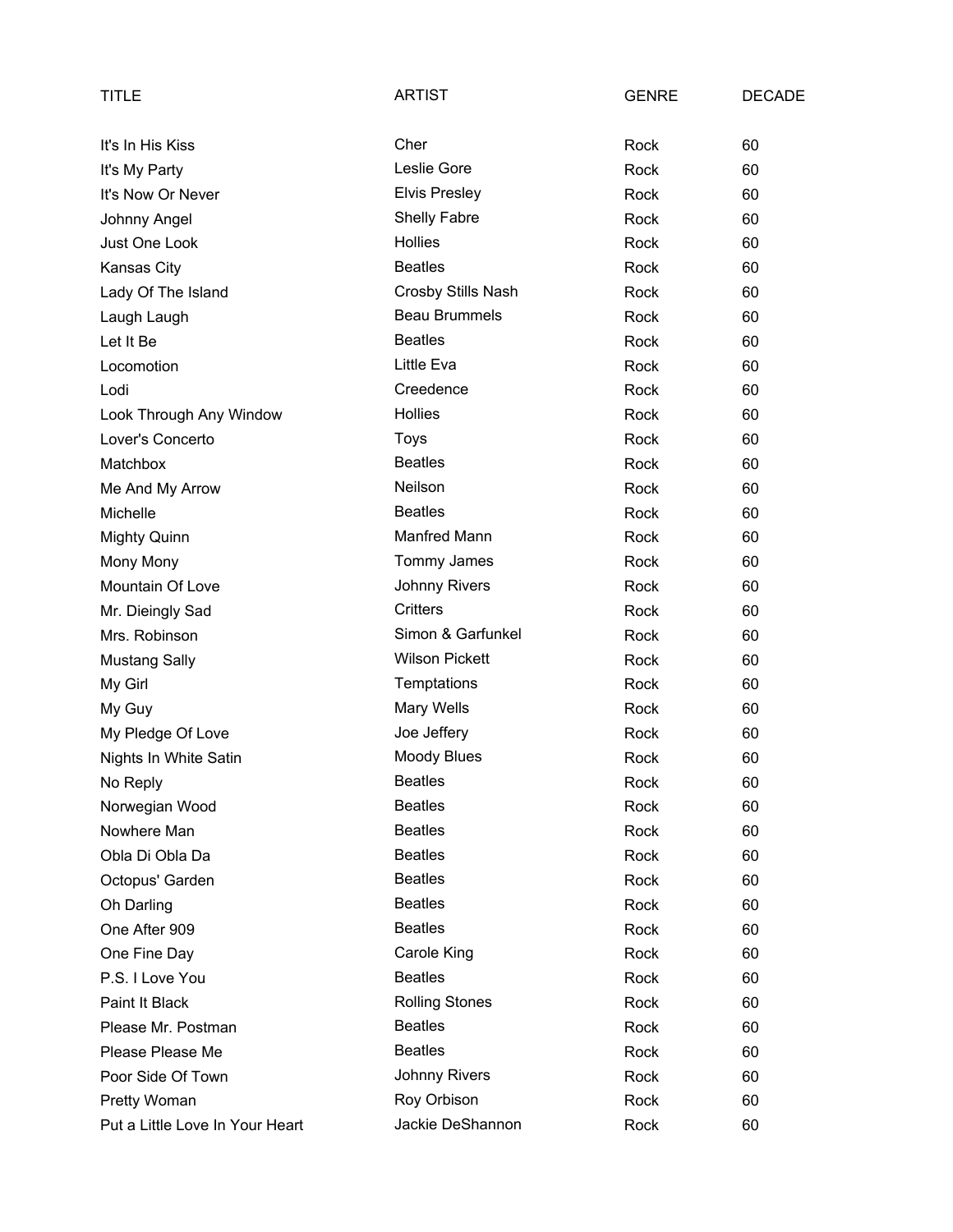| TITLE                           | <b>ARTIST</b>         | <b>GENRE</b> | <b>DECADE</b> |
|---------------------------------|-----------------------|--------------|---------------|
| It's In His Kiss                | Cher                  | Rock         | 60            |
| It's My Party                   | Leslie Gore           | Rock         | 60            |
| It's Now Or Never               | <b>Elvis Presley</b>  | Rock         | 60            |
| Johnny Angel                    | <b>Shelly Fabre</b>   | Rock         | 60            |
| Just One Look                   | <b>Hollies</b>        | Rock         | 60            |
| Kansas City                     | <b>Beatles</b>        | Rock         | 60            |
| Lady Of The Island              | Crosby Stills Nash    | Rock         | 60            |
| Laugh Laugh                     | <b>Beau Brummels</b>  | Rock         | 60            |
| Let It Be                       | <b>Beatles</b>        | Rock         | 60            |
| Locomotion                      | Little Eva            | Rock         | 60            |
| Lodi                            | Creedence             | Rock         | 60            |
| Look Through Any Window         | <b>Hollies</b>        | Rock         | 60            |
| Lover's Concerto                | Toys                  | Rock         | 60            |
| Matchbox                        | <b>Beatles</b>        | Rock         | 60            |
| Me And My Arrow                 | Neilson               | Rock         | 60            |
| Michelle                        | <b>Beatles</b>        | Rock         | 60            |
| <b>Mighty Quinn</b>             | Manfred Mann          | Rock         | 60            |
| Mony Mony                       | Tommy James           | Rock         | 60            |
| Mountain Of Love                | Johnny Rivers         | Rock         | 60            |
| Mr. Dieingly Sad                | <b>Critters</b>       | Rock         | 60            |
| Mrs. Robinson                   | Simon & Garfunkel     | Rock         | 60            |
| <b>Mustang Sally</b>            | <b>Wilson Pickett</b> | Rock         | 60            |
| My Girl                         | Temptations           | Rock         | 60            |
| My Guy                          | Mary Wells            | Rock         | 60            |
| My Pledge Of Love               | Joe Jeffery           | Rock         | 60            |
| Nights In White Satin           | <b>Moody Blues</b>    | Rock         | 60            |
| No Reply                        | <b>Beatles</b>        | Rock         | 60            |
| Norwegian Wood                  | <b>Beatles</b>        | Rock         | 60            |
| Nowhere Man                     | <b>Beatles</b>        | Rock         | 60            |
| Obla Di Obla Da                 | <b>Beatles</b>        | Rock         | 60            |
| Octopus' Garden                 | <b>Beatles</b>        | Rock         | 60            |
| Oh Darling                      | <b>Beatles</b>        | Rock         | 60            |
| One After 909                   | <b>Beatles</b>        | Rock         | 60            |
| One Fine Day                    | Carole King           | Rock         | 60            |
| P.S. I Love You                 | <b>Beatles</b>        | Rock         | 60            |
| Paint It Black                  | <b>Rolling Stones</b> | Rock         | 60            |
| Please Mr. Postman              | <b>Beatles</b>        | Rock         | 60            |
| Please Please Me                | <b>Beatles</b>        | Rock         | 60            |
| Poor Side Of Town               | Johnny Rivers         | Rock         | 60            |
| Pretty Woman                    | Roy Orbison           | Rock         | 60            |
| Put a Little Love In Your Heart | Jackie DeShannon      | Rock         | 60            |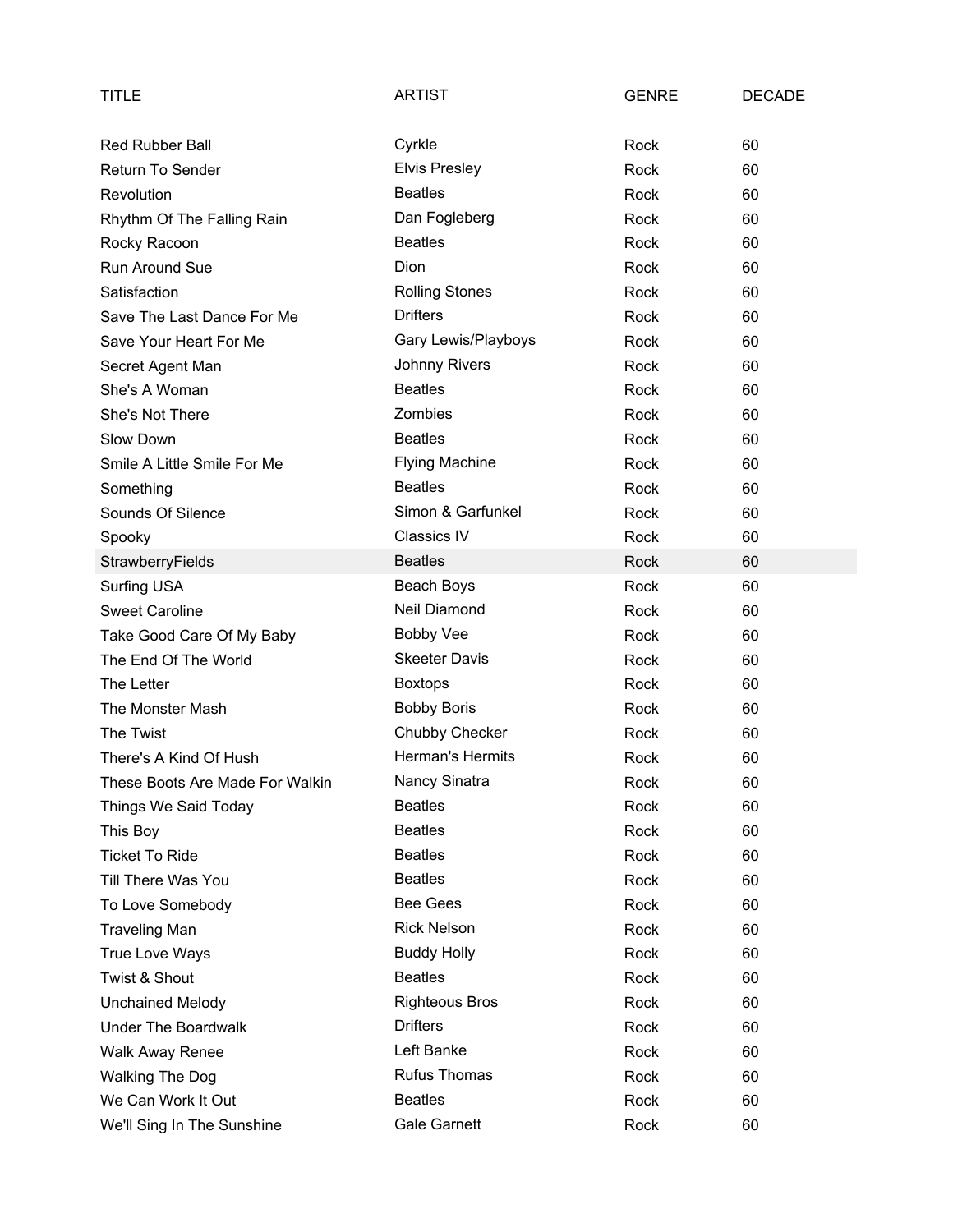| <b>TITLE</b>                    | <b>ARTIST</b>         | <b>GENRE</b> | <b>DECADE</b> |
|---------------------------------|-----------------------|--------------|---------------|
| <b>Red Rubber Ball</b>          | Cyrkle                | Rock         | 60            |
| <b>Return To Sender</b>         | <b>Elvis Presley</b>  | Rock         | 60            |
| Revolution                      | <b>Beatles</b>        | Rock         | 60            |
| Rhythm Of The Falling Rain      | Dan Fogleberg         | Rock         | 60            |
| Rocky Racoon                    | <b>Beatles</b>        | Rock         | 60            |
| Run Around Sue                  | Dion                  | Rock         | 60            |
| Satisfaction                    | <b>Rolling Stones</b> | Rock         | 60            |
| Save The Last Dance For Me      | <b>Drifters</b>       | Rock         | 60            |
| Save Your Heart For Me          | Gary Lewis/Playboys   | Rock         | 60            |
| Secret Agent Man                | Johnny Rivers         | Rock         | 60            |
| She's A Woman                   | <b>Beatles</b>        | Rock         | 60            |
| She's Not There                 | Zombies               | Rock         | 60            |
| Slow Down                       | <b>Beatles</b>        | Rock         | 60            |
| Smile A Little Smile For Me     | <b>Flying Machine</b> | Rock         | 60            |
| Something                       | <b>Beatles</b>        | Rock         | 60            |
| Sounds Of Silence               | Simon & Garfunkel     | Rock         | 60            |
| Spooky                          | <b>Classics IV</b>    | Rock         | 60            |
| StrawberryFields                | <b>Beatles</b>        | Rock         | 60            |
| <b>Surfing USA</b>              | Beach Boys            | Rock         | 60            |
| <b>Sweet Caroline</b>           | Neil Diamond          | Rock         | 60            |
| Take Good Care Of My Baby       | <b>Bobby Vee</b>      | Rock         | 60            |
| The End Of The World            | <b>Skeeter Davis</b>  | Rock         | 60            |
| The Letter                      | <b>Boxtops</b>        | Rock         | 60            |
| The Monster Mash                | <b>Bobby Boris</b>    | Rock         | 60            |
| The Twist                       | Chubby Checker        | Rock         | 60            |
| There's A Kind Of Hush          | Herman's Hermits      | Rock         | 60            |
| These Boots Are Made For Walkin | Nancy Sinatra         | Rock         | 60            |
| Things We Said Today            | <b>Beatles</b>        | Rock         | 60            |
| This Boy                        | <b>Beatles</b>        | Rock         | 60            |
| <b>Ticket To Ride</b>           | <b>Beatles</b>        | Rock         | 60            |
| Till There Was You              | <b>Beatles</b>        | Rock         | 60            |
| To Love Somebody                | <b>Bee Gees</b>       | Rock         | 60            |
| <b>Traveling Man</b>            | <b>Rick Nelson</b>    | Rock         | 60            |
| True Love Ways                  | <b>Buddy Holly</b>    | Rock         | 60            |
| Twist & Shout                   | <b>Beatles</b>        | Rock         | 60            |
| <b>Unchained Melody</b>         | <b>Righteous Bros</b> | Rock         | 60            |
| <b>Under The Boardwalk</b>      | <b>Drifters</b>       | Rock         | 60            |
| <b>Walk Away Renee</b>          | Left Banke            | Rock         | 60            |
| <b>Walking The Dog</b>          | <b>Rufus Thomas</b>   | Rock         | 60            |
| We Can Work It Out              | <b>Beatles</b>        | Rock         | 60            |
| We'll Sing In The Sunshine      | <b>Gale Garnett</b>   | Rock         | 60            |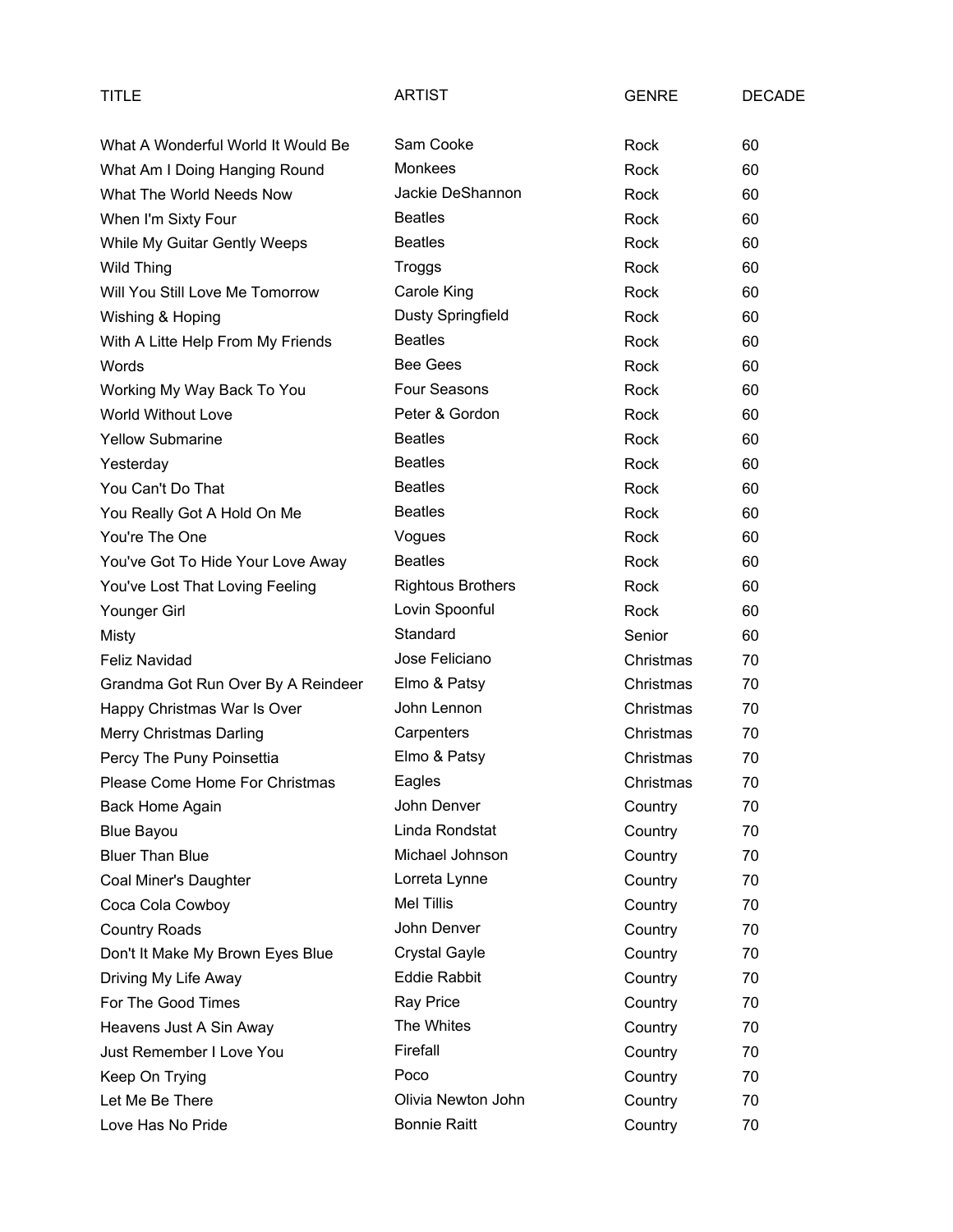| TITLE                              | <b>ARTIST</b>            | <b>GENRE</b> | <b>DECADE</b> |
|------------------------------------|--------------------------|--------------|---------------|
| What A Wonderful World It Would Be | Sam Cooke                | Rock         | 60            |
| What Am I Doing Hanging Round      | <b>Monkees</b>           | Rock         | 60            |
| What The World Needs Now           | Jackie DeShannon         | Rock         | 60            |
| When I'm Sixty Four                | <b>Beatles</b>           | Rock         | 60            |
| While My Guitar Gently Weeps       | <b>Beatles</b>           | Rock         | 60            |
| <b>Wild Thing</b>                  | Troggs                   | Rock         | 60            |
| Will You Still Love Me Tomorrow    | Carole King              | Rock         | 60            |
| Wishing & Hoping                   | Dusty Springfield        | Rock         | 60            |
| With A Litte Help From My Friends  | <b>Beatles</b>           | Rock         | 60            |
| Words                              | <b>Bee Gees</b>          | Rock         | 60            |
| Working My Way Back To You         | Four Seasons             | Rock         | 60            |
| <b>World Without Love</b>          | Peter & Gordon           | Rock         | 60            |
| <b>Yellow Submarine</b>            | <b>Beatles</b>           | Rock         | 60            |
| Yesterday                          | <b>Beatles</b>           | Rock         | 60            |
| You Can't Do That                  | <b>Beatles</b>           | Rock         | 60            |
| You Really Got A Hold On Me        | <b>Beatles</b>           | Rock         | 60            |
| You're The One                     | Vogues                   | Rock         | 60            |
| You've Got To Hide Your Love Away  | <b>Beatles</b>           | Rock         | 60            |
| You've Lost That Loving Feeling    | <b>Rightous Brothers</b> | Rock         | 60            |
| Younger Girl                       | Lovin Spoonful           | Rock         | 60            |
| <b>Misty</b>                       | Standard                 | Senior       | 60            |
| <b>Feliz Navidad</b>               | Jose Feliciano           | Christmas    | 70            |
| Grandma Got Run Over By A Reindeer | Elmo & Patsy             | Christmas    | 70            |
| Happy Christmas War Is Over        | John Lennon              | Christmas    | 70            |
| Merry Christmas Darling            | Carpenters               | Christmas    | 70            |
| Percy The Puny Poinsettia          | Elmo & Patsy             | Christmas    | 70            |
| Please Come Home For Christmas     | Eagles                   | Christmas    | 70            |
| Back Home Again                    | John Denver              | Country      | 70            |
| <b>Blue Bayou</b>                  | Linda Rondstat           | Country      | 70            |
| <b>Bluer Than Blue</b>             | Michael Johnson          | Country      | 70            |
| Coal Miner's Daughter              | Lorreta Lynne            | Country      | 70            |
| Coca Cola Cowboy                   | <b>Mel Tillis</b>        | Country      | 70            |
| <b>Country Roads</b>               | John Denver              | Country      | 70            |
| Don't It Make My Brown Eyes Blue   | <b>Crystal Gayle</b>     | Country      | 70            |
| Driving My Life Away               | <b>Eddie Rabbit</b>      | Country      | 70            |
| For The Good Times                 | Ray Price                | Country      | 70            |
| Heavens Just A Sin Away            | The Whites               | Country      | 70            |
| Just Remember I Love You           | Firefall                 | Country      | 70            |
| Keep On Trying                     | Poco                     | Country      | 70            |
| Let Me Be There                    | Olivia Newton John       | Country      | 70            |
| Love Has No Pride                  | <b>Bonnie Raitt</b>      | Country      | 70            |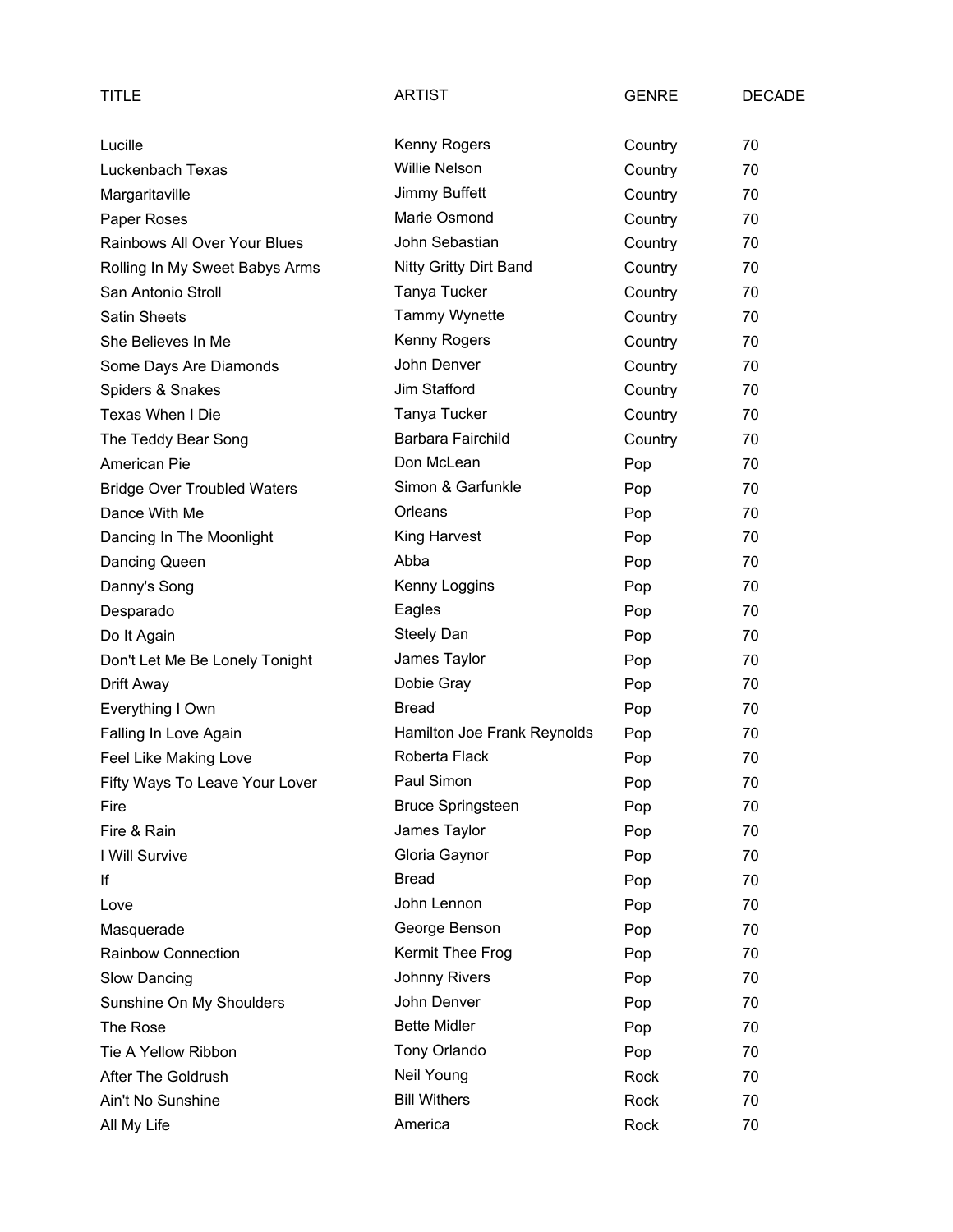| TITLE                              | <b>ARTIST</b>               | <b>GENRE</b> | <b>DECADE</b> |
|------------------------------------|-----------------------------|--------------|---------------|
| Lucille                            | Kenny Rogers                | Country      | 70            |
| Luckenbach Texas                   | <b>Willie Nelson</b>        | Country      | 70            |
| Margaritaville                     | Jimmy Buffett               | Country      | 70            |
| Paper Roses                        | Marie Osmond                | Country      | 70            |
| Rainbows All Over Your Blues       | John Sebastian              | Country      | 70            |
| Rolling In My Sweet Babys Arms     | Nitty Gritty Dirt Band      | Country      | 70            |
| San Antonio Stroll                 | Tanya Tucker                | Country      | 70            |
| <b>Satin Sheets</b>                | Tammy Wynette               | Country      | 70            |
| She Believes In Me                 | Kenny Rogers                | Country      | 70            |
| Some Days Are Diamonds             | John Denver                 | Country      | 70            |
| Spiders & Snakes                   | Jim Stafford                | Country      | 70            |
| Texas When I Die                   | Tanya Tucker                | Country      | 70            |
| The Teddy Bear Song                | Barbara Fairchild           | Country      | 70            |
| American Pie                       | Don McLean                  | Pop          | 70            |
| <b>Bridge Over Troubled Waters</b> | Simon & Garfunkle           | Pop          | 70            |
| Dance With Me                      | Orleans                     | Pop          | 70            |
| Dancing In The Moonlight           | King Harvest                | Pop          | 70            |
| Dancing Queen                      | Abba                        | Pop          | 70            |
| Danny's Song                       | Kenny Loggins               | Pop          | 70            |
| Desparado                          | Eagles                      | Pop          | 70            |
| Do It Again                        | Steely Dan                  | Pop          | 70            |
| Don't Let Me Be Lonely Tonight     | James Taylor                | Pop          | 70            |
| Drift Away                         | Dobie Gray                  | Pop          | 70            |
| Everything I Own                   | <b>Bread</b>                | Pop          | 70            |
| Falling In Love Again              | Hamilton Joe Frank Reynolds | Pop          | 70            |
| Feel Like Making Love              | Roberta Flack               | Pop          | 70            |
| Fifty Ways To Leave Your Lover     | Paul Simon                  | Pop          | 70            |
| Fire                               | <b>Bruce Springsteen</b>    | Pop          | 70            |
| Fire & Rain                        | James Taylor                | Pop          | 70            |
| I Will Survive                     | Gloria Gaynor               | Pop          | 70            |
| lf                                 | <b>Bread</b>                | Pop          | 70            |
| Love                               | John Lennon                 | Pop          | 70            |
| Masquerade                         | George Benson               | Pop          | 70            |
| Rainbow Connection                 | Kermit Thee Frog            | Pop          | 70            |
| Slow Dancing                       | <b>Johnny Rivers</b>        | Pop          | 70            |
| Sunshine On My Shoulders           | John Denver                 | Pop          | 70            |
| The Rose                           | <b>Bette Midler</b>         | Pop          | 70            |
| Tie A Yellow Ribbon                | Tony Orlando                | Pop          | 70            |
| After The Goldrush                 | Neil Young                  | Rock         | 70            |
| Ain't No Sunshine                  | <b>Bill Withers</b>         | Rock         | 70            |
| All My Life                        | America                     | Rock         | 70            |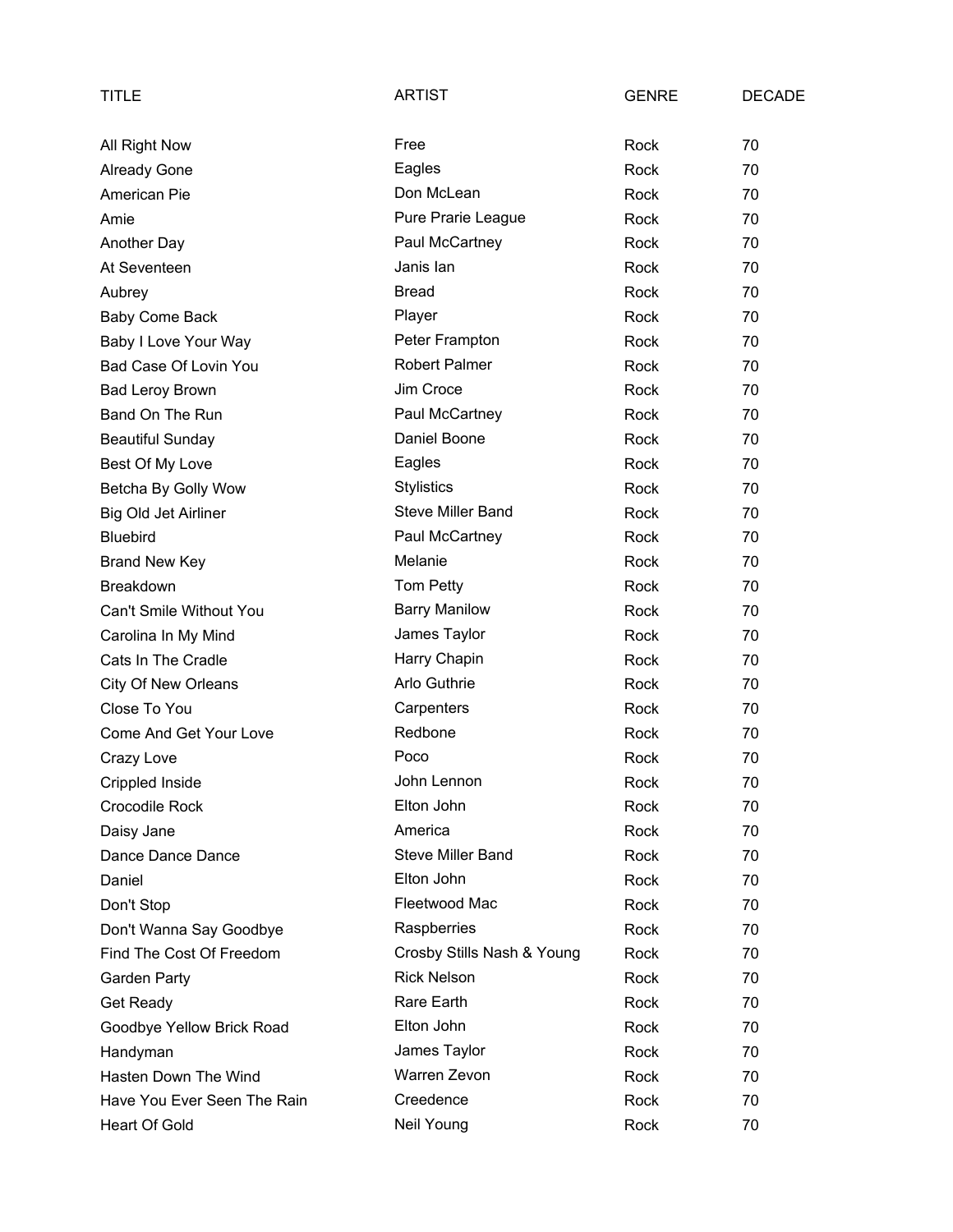| TITLE                       | <b>ARTIST</b>              | <b>GENRE</b> | <b>DECADE</b> |
|-----------------------------|----------------------------|--------------|---------------|
| All Right Now               | Free                       | Rock         | 70            |
| <b>Already Gone</b>         | Eagles                     | Rock         | 70            |
| American Pie                | Don McLean                 | Rock         | 70            |
| Amie                        | Pure Prarie League         | Rock         | 70            |
| Another Day                 | Paul McCartney             | Rock         | 70            |
| At Seventeen                | Janis lan                  | Rock         | 70            |
| Aubrey                      | <b>Bread</b>               | Rock         | 70            |
| <b>Baby Come Back</b>       | Player                     | Rock         | 70            |
| Baby I Love Your Way        | Peter Frampton             | Rock         | 70            |
| Bad Case Of Lovin You       | <b>Robert Palmer</b>       | Rock         | 70            |
| <b>Bad Leroy Brown</b>      | Jim Croce                  | <b>Rock</b>  | 70            |
| Band On The Run             | Paul McCartney             | Rock         | 70            |
| <b>Beautiful Sunday</b>     | Daniel Boone               | Rock         | 70            |
| Best Of My Love             | Eagles                     | Rock         | 70            |
| Betcha By Golly Wow         | <b>Stylistics</b>          | Rock         | 70            |
| Big Old Jet Airliner        | <b>Steve Miller Band</b>   | Rock         | 70            |
| <b>Bluebird</b>             | Paul McCartney             | Rock         | 70            |
| <b>Brand New Key</b>        | Melanie                    | Rock         | 70            |
| <b>Breakdown</b>            | Tom Petty                  | Rock         | 70            |
| Can't Smile Without You     | <b>Barry Manilow</b>       | Rock         | 70            |
| Carolina In My Mind         | James Taylor               | Rock         | 70            |
| Cats In The Cradle          | Harry Chapin               | Rock         | 70            |
| <b>City Of New Orleans</b>  | Arlo Guthrie               | Rock         | 70            |
| Close To You                | Carpenters                 | Rock         | 70            |
| Come And Get Your Love      | Redbone                    | Rock         | 70            |
| Crazy Love                  | Poco                       | Rock         | 70            |
| Crippled Inside             | John Lennon                | Rock         | 70            |
| <b>Crocodile Rock</b>       | Elton John                 | Rock         | 70            |
| Daisy Jane                  | America                    | Rock         | 70            |
| Dance Dance Dance           | <b>Steve Miller Band</b>   | Rock         | 70            |
| Daniel                      | Elton John                 | Rock         | 70            |
| Don't Stop                  | Fleetwood Mac              | Rock         | 70            |
| Don't Wanna Say Goodbye     | Raspberries                | Rock         | 70            |
| Find The Cost Of Freedom    | Crosby Stills Nash & Young | Rock         | 70            |
| Garden Party                | <b>Rick Nelson</b>         | Rock         | 70            |
| Get Ready                   | Rare Earth                 | Rock         | 70            |
| Goodbye Yellow Brick Road   | Elton John                 | Rock         | 70            |
| Handyman                    | James Taylor               | Rock         | 70            |
| Hasten Down The Wind        | Warren Zevon               | Rock         | 70            |
| Have You Ever Seen The Rain | Creedence                  | Rock         | 70            |
| Heart Of Gold               | Neil Young                 | Rock         | 70            |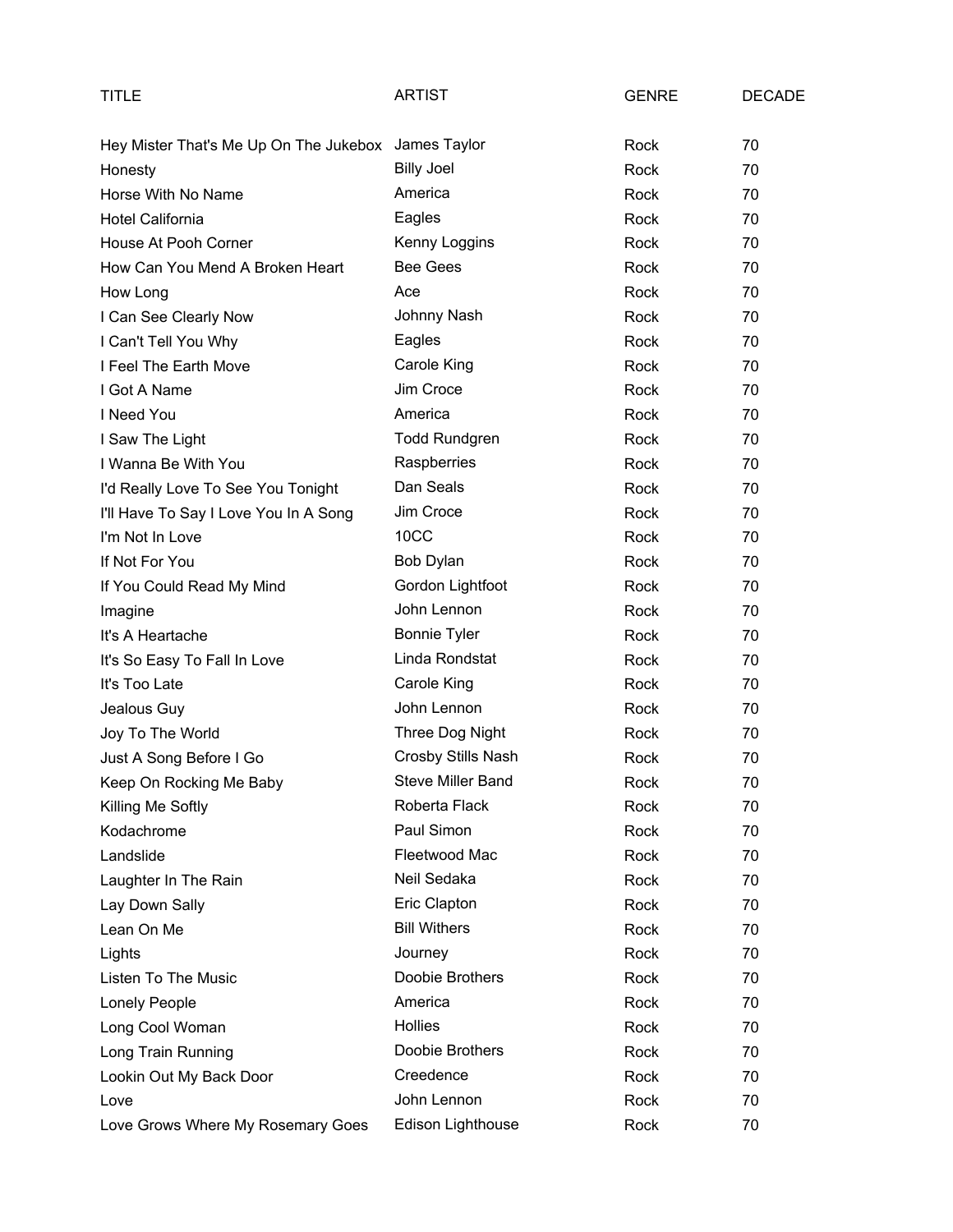| TITLE                                  | <b>ARTIST</b>        | <b>GENRE</b> | <b>DECADE</b> |
|----------------------------------------|----------------------|--------------|---------------|
| Hey Mister That's Me Up On The Jukebox | James Taylor         | Rock         | 70            |
| Honesty                                | <b>Billy Joel</b>    | Rock         | 70            |
| Horse With No Name                     | America              | Rock         | 70            |
| Hotel California                       | Eagles               | Rock         | 70            |
| House At Pooh Corner                   | Kenny Loggins        | Rock         | 70            |
| How Can You Mend A Broken Heart        | <b>Bee Gees</b>      | Rock         | 70            |
| How Long                               | Ace                  | Rock         | 70            |
| I Can See Clearly Now                  | Johnny Nash          | Rock         | 70            |
| I Can't Tell You Why                   | Eagles               | Rock         | 70            |
| I Feel The Earth Move                  | Carole King          | Rock         | 70            |
| I Got A Name                           | Jim Croce            | Rock         | 70            |
| I Need You                             | America              | Rock         | 70            |
| I Saw The Light                        | <b>Todd Rundgren</b> | Rock         | 70            |
| I Wanna Be With You                    | Raspberries          | Rock         | 70            |
| I'd Really Love To See You Tonight     | Dan Seals            | Rock         | 70            |
| I'll Have To Say I Love You In A Song  | Jim Croce            | Rock         | 70            |
| I'm Not In Love                        | 10CC                 | Rock         | 70            |
| If Not For You                         | Bob Dylan            | Rock         | 70            |
| If You Could Read My Mind              | Gordon Lightfoot     | Rock         | 70            |
| Imagine                                | John Lennon          | Rock         | 70            |
| It's A Heartache                       | <b>Bonnie Tyler</b>  | Rock         | 70            |
| It's So Easy To Fall In Love           | Linda Rondstat       | Rock         | 70            |
| It's Too Late                          | Carole King          | Rock         | 70            |
| Jealous Guy                            | John Lennon          | Rock         | 70            |
| Joy To The World                       | Three Dog Night      | Rock         | 70            |
| Just A Song Before I Go                | Crosby Stills Nash   | Rock         | 70            |
| Keep On Rocking Me Baby                | Steve Miller Band    | Rock         | 70            |
| Killing Me Softly                      | Roberta Flack        | Rock         | 70            |
| Kodachrome                             | Paul Simon           | Rock         | 70            |
| Landslide                              | Fleetwood Mac        | Rock         | 70            |
| Laughter In The Rain                   | Neil Sedaka          | Rock         | 70            |
| Lay Down Sally                         | Eric Clapton         | Rock         | 70            |
| Lean On Me                             | <b>Bill Withers</b>  | Rock         | 70            |
| Lights                                 | Journey              | Rock         | 70            |
| Listen To The Music                    | Doobie Brothers      | Rock         | 70            |
| Lonely People                          | America              | Rock         | 70            |
| Long Cool Woman                        | <b>Hollies</b>       | Rock         | 70            |
| Long Train Running                     | Doobie Brothers      | Rock         | 70            |
| Lookin Out My Back Door                | Creedence            | Rock         | 70            |
| Love                                   | John Lennon          | Rock         | 70            |
| Love Grows Where My Rosemary Goes      | Edison Lighthouse    | Rock         | 70            |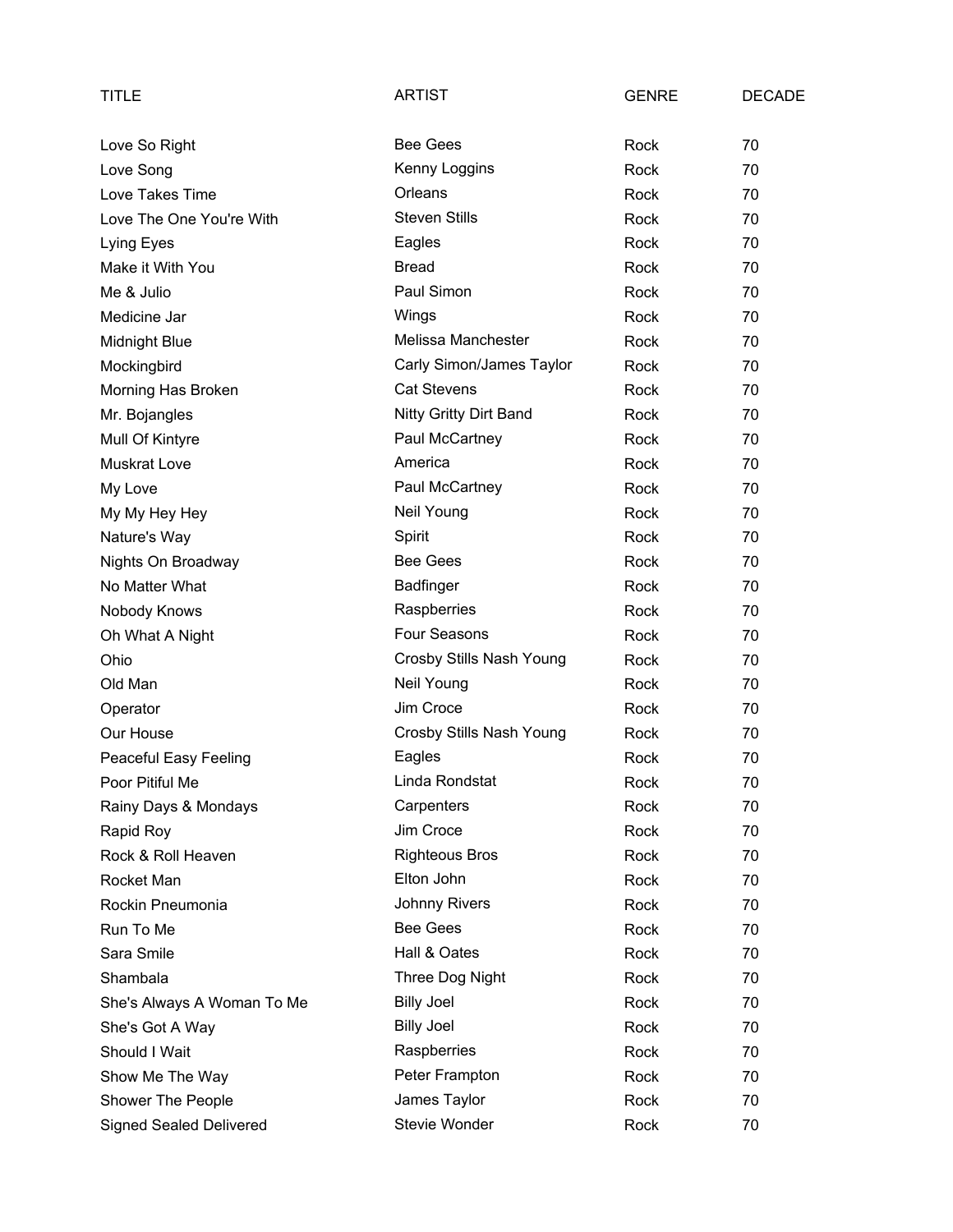| TITLE                          | <b>ARTIST</b>             | <b>GENRE</b> | <b>DECADE</b> |
|--------------------------------|---------------------------|--------------|---------------|
| Love So Right                  | <b>Bee Gees</b>           | Rock         | 70            |
| Love Song                      | Kenny Loggins             | Rock         | 70            |
| Love Takes Time                | Orleans                   | Rock         | 70            |
| Love The One You're With       | <b>Steven Stills</b>      | Rock         | 70            |
| Lying Eyes                     | Eagles                    | Rock         | 70            |
| Make it With You               | <b>Bread</b>              | Rock         | 70            |
| Me & Julio                     | Paul Simon                | Rock         | 70            |
| Medicine Jar                   | Wings                     | Rock         | 70            |
| <b>Midnight Blue</b>           | <b>Melissa Manchester</b> | Rock         | 70            |
| Mockingbird                    | Carly Simon/James Taylor  | Rock         | 70            |
| Morning Has Broken             | Cat Stevens               | Rock         | 70            |
| Mr. Bojangles                  | Nitty Gritty Dirt Band    | Rock         | 70            |
| Mull Of Kintyre                | Paul McCartney            | Rock         | 70            |
| <b>Muskrat Love</b>            | America                   | Rock         | 70            |
| My Love                        | Paul McCartney            | Rock         | 70            |
| My My Hey Hey                  | Neil Young                | Rock         | 70            |
| Nature's Way                   | Spirit                    | Rock         | 70            |
| Nights On Broadway             | <b>Bee Gees</b>           | Rock         | 70            |
| No Matter What                 | <b>Badfinger</b>          | Rock         | 70            |
| Nobody Knows                   | Raspberries               | Rock         | 70            |
| Oh What A Night                | Four Seasons              | Rock         | 70            |
| Ohio                           | Crosby Stills Nash Young  | Rock         | 70            |
| Old Man                        | Neil Young                | Rock         | 70            |
| Operator                       | Jim Croce                 | Rock         | 70            |
| Our House                      | Crosby Stills Nash Young  | Rock         | 70            |
| Peaceful Easy Feeling          | Eagles                    | Rock         | 70            |
| Poor Pitiful Me                | Linda Rondstat            | Rock         | 70            |
| Rainy Days & Mondays           | Carpenters                | Rock         | 70            |
| Rapid Roy                      | Jim Croce                 | Rock         | 70            |
| Rock & Roll Heaven             | <b>Righteous Bros</b>     | Rock         | 70            |
| Rocket Man                     | Elton John                | Rock         | 70            |
| Rockin Pneumonia               | Johnny Rivers             | Rock         | 70            |
| Run To Me                      | <b>Bee Gees</b>           | Rock         | 70            |
| Sara Smile                     | Hall & Oates              | Rock         | 70            |
| Shambala                       | Three Dog Night           | Rock         | 70            |
| She's Always A Woman To Me     | <b>Billy Joel</b>         | Rock         | 70            |
| She's Got A Way                | <b>Billy Joel</b>         | Rock         | 70            |
| Should I Wait                  | Raspberries               | Rock         | 70            |
| Show Me The Way                | Peter Frampton            | Rock         | 70            |
| Shower The People              | James Taylor              | Rock         | 70            |
| <b>Signed Sealed Delivered</b> | Stevie Wonder             | Rock         | 70            |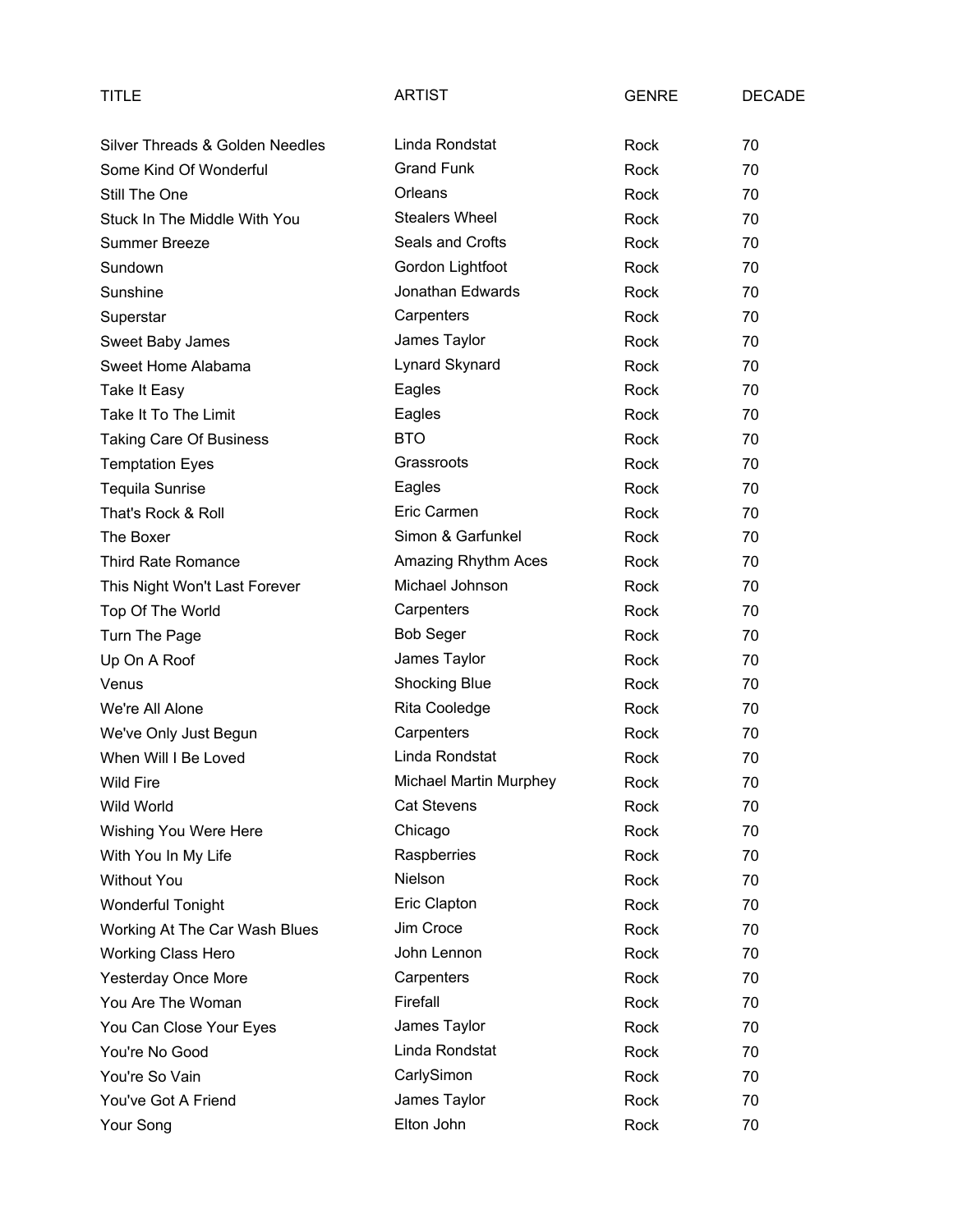| TITLE                           | <b>ARTIST</b>          | <b>GENRE</b> | <b>DECADE</b> |
|---------------------------------|------------------------|--------------|---------------|
| Silver Threads & Golden Needles | Linda Rondstat         | Rock         | 70            |
| Some Kind Of Wonderful          | <b>Grand Funk</b>      | Rock         | 70            |
| Still The One                   | Orleans                | Rock         | 70            |
| Stuck In The Middle With You    | <b>Stealers Wheel</b>  | Rock         | 70            |
| <b>Summer Breeze</b>            | Seals and Crofts       | Rock         | 70            |
| Sundown                         | Gordon Lightfoot       | Rock         | 70            |
| Sunshine                        | Jonathan Edwards       | Rock         | 70            |
| Superstar                       | Carpenters             | Rock         | 70            |
| Sweet Baby James                | James Taylor           | Rock         | 70            |
| Sweet Home Alabama              | Lynard Skynard         | Rock         | 70            |
| Take It Easy                    | Eagles                 | Rock         | 70            |
| Take It To The Limit            | Eagles                 | Rock         | 70            |
| <b>Taking Care Of Business</b>  | <b>BTO</b>             | Rock         | 70            |
| <b>Temptation Eyes</b>          | Grassroots             | Rock         | 70            |
| <b>Tequila Sunrise</b>          | Eagles                 | Rock         | 70            |
| That's Rock & Roll              | Eric Carmen            | Rock         | 70            |
| The Boxer                       | Simon & Garfunkel      | Rock         | 70            |
| <b>Third Rate Romance</b>       | Amazing Rhythm Aces    | Rock         | 70            |
| This Night Won't Last Forever   | Michael Johnson        | Rock         | 70            |
| Top Of The World                | Carpenters             | Rock         | 70            |
| Turn The Page                   | <b>Bob Seger</b>       | Rock         | 70            |
| Up On A Roof                    | James Taylor           | Rock         | 70            |
| Venus                           | <b>Shocking Blue</b>   | Rock         | 70            |
| We're All Alone                 | Rita Cooledge          | Rock         | 70            |
| We've Only Just Begun           | Carpenters             | Rock         | 70            |
| When Will I Be Loved            | Linda Rondstat         | Rock         | 70            |
| <b>Wild Fire</b>                | Michael Martin Murphey | Rock         | 70            |
| Wild World                      | <b>Cat Stevens</b>     | Rock         | 70            |
| Wishing You Were Here           | Chicago                | Rock         | 70            |
| With You In My Life             | Raspberries            | Rock         | 70            |
| <b>Without You</b>              | Nielson                | Rock         | 70            |
| <b>Wonderful Tonight</b>        | Eric Clapton           | Rock         | 70            |
| Working At The Car Wash Blues   | Jim Croce              | Rock         | 70            |
| <b>Working Class Hero</b>       | John Lennon            | Rock         | 70            |
| <b>Yesterday Once More</b>      | Carpenters             | Rock         | 70            |
| You Are The Woman               | Firefall               | Rock         | 70            |
| You Can Close Your Eyes         | James Taylor           | Rock         | 70            |
| You're No Good                  | Linda Rondstat         | Rock         | 70            |
| You're So Vain                  | CarlySimon             | Rock         | 70            |
| You've Got A Friend             | James Taylor           | Rock         | 70            |
| Your Song                       | Elton John             | Rock         | 70            |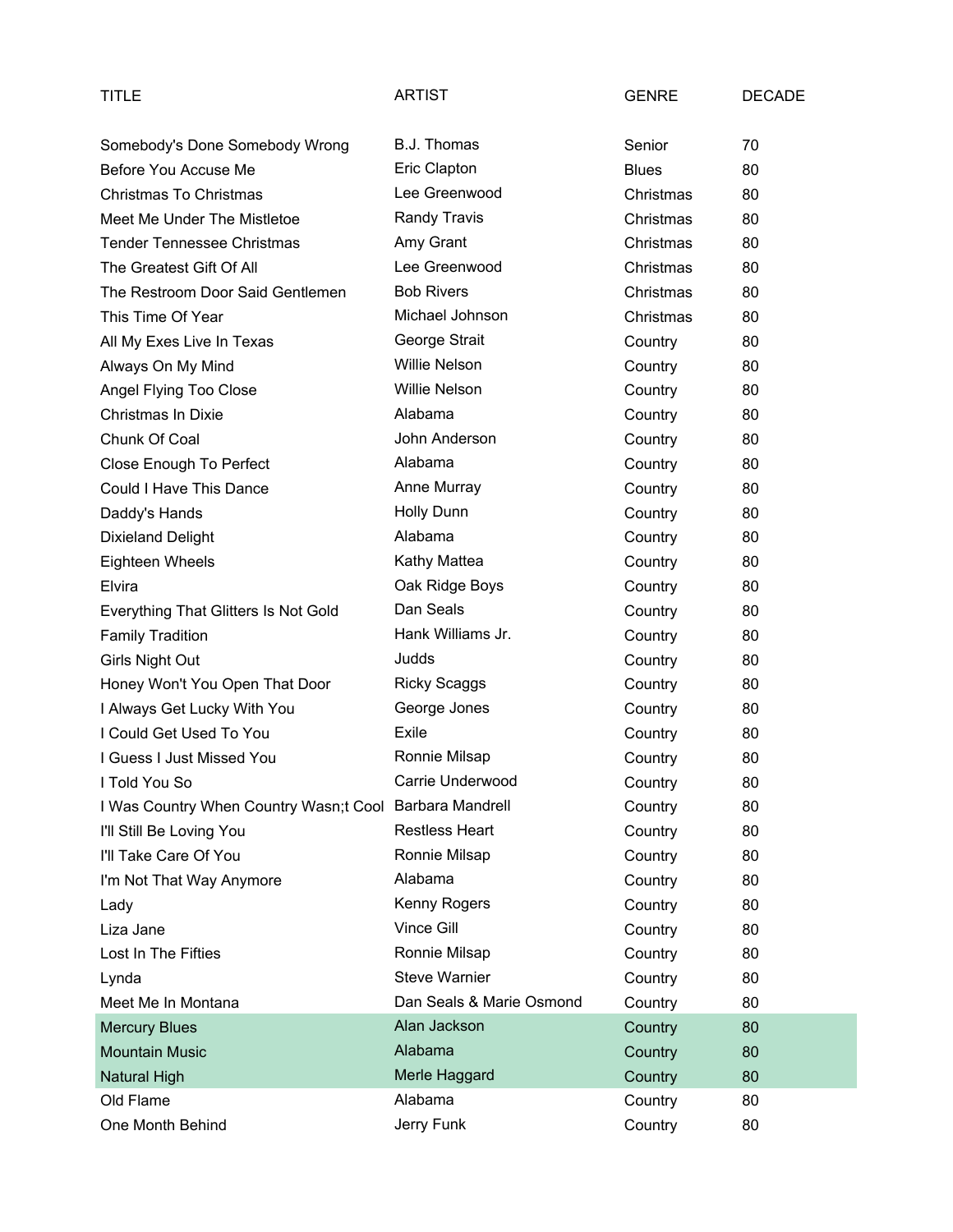| <b>TITLE</b>                           | <b>ARTIST</b>            | <b>GENRE</b> | <b>DECADE</b> |
|----------------------------------------|--------------------------|--------------|---------------|
| Somebody's Done Somebody Wrong         | B.J. Thomas              | Senior       | 70            |
| Before You Accuse Me                   | Eric Clapton             | <b>Blues</b> | 80            |
| Christmas To Christmas                 | Lee Greenwood            | Christmas    | 80            |
| Meet Me Under The Mistletoe            | Randy Travis             | Christmas    | 80            |
| <b>Tender Tennessee Christmas</b>      | Amy Grant                | Christmas    | 80            |
| The Greatest Gift Of All               | Lee Greenwood            | Christmas    | 80            |
| The Restroom Door Said Gentlemen       | <b>Bob Rivers</b>        | Christmas    | 80            |
| This Time Of Year                      | Michael Johnson          | Christmas    | 80            |
| All My Exes Live In Texas              | George Strait            | Country      | 80            |
| Always On My Mind                      | <b>Willie Nelson</b>     | Country      | 80            |
| Angel Flying Too Close                 | <b>Willie Nelson</b>     | Country      | 80            |
| Christmas In Dixie                     | Alabama                  | Country      | 80            |
| Chunk Of Coal                          | John Anderson            | Country      | 80            |
| Close Enough To Perfect                | Alabama                  | Country      | 80            |
| Could I Have This Dance                | Anne Murray              | Country      | 80            |
| Daddy's Hands                          | <b>Holly Dunn</b>        | Country      | 80            |
| <b>Dixieland Delight</b>               | Alabama                  | Country      | 80            |
| Eighteen Wheels                        | Kathy Mattea             | Country      | 80            |
| Elvira                                 | Oak Ridge Boys           | Country      | 80            |
| Everything That Glitters Is Not Gold   | Dan Seals                | Country      | 80            |
| <b>Family Tradition</b>                | Hank Williams Jr.        | Country      | 80            |
| Girls Night Out                        | Judds                    | Country      | 80            |
| Honey Won't You Open That Door         | <b>Ricky Scaggs</b>      | Country      | 80            |
| I Always Get Lucky With You            | George Jones             | Country      | 80            |
| I Could Get Used To You                | Exile                    | Country      | 80            |
| I Guess I Just Missed You              | Ronnie Milsap            | Country      | 80            |
| I Told You So                          | Carrie Underwood         | Country      | 80            |
| I Was Country When Country Wasn;t Cool | Barbara Mandrell         | Country      | 80            |
| I'll Still Be Loving You               | <b>Restless Heart</b>    | Country      | 80            |
| I'll Take Care Of You                  | Ronnie Milsap            | Country      | 80            |
| I'm Not That Way Anymore               | Alabama                  | Country      | 80            |
| Lady                                   | Kenny Rogers             | Country      | 80            |
| Liza Jane                              | Vince Gill               | Country      | 80            |
| Lost In The Fifties                    | Ronnie Milsap            | Country      | 80            |
| Lynda                                  | <b>Steve Warnier</b>     | Country      | 80            |
| Meet Me In Montana                     | Dan Seals & Marie Osmond | Country      | 80            |
| <b>Mercury Blues</b>                   | Alan Jackson             | Country      | 80            |
| <b>Mountain Music</b>                  | Alabama                  | Country      | 80            |
| <b>Natural High</b>                    | Merle Haggard            | Country      | 80            |
| Old Flame                              | Alabama                  | Country      | 80            |
| One Month Behind                       | Jerry Funk               | Country      | 80            |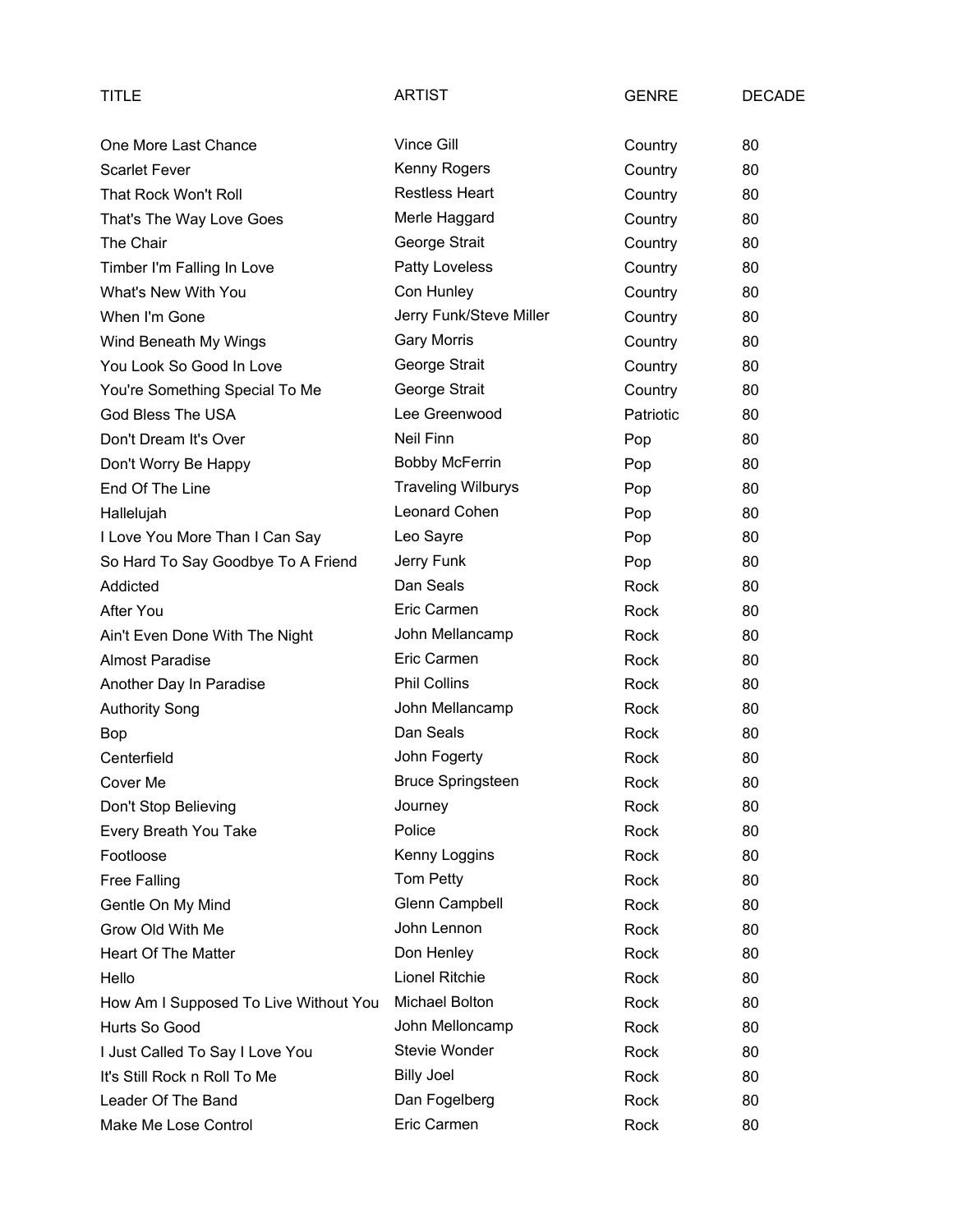| TITLE                                 | <b>ARTIST</b>             | <b>GENRE</b> | <b>DECADE</b> |
|---------------------------------------|---------------------------|--------------|---------------|
| One More Last Chance                  | Vince Gill                | Country      | 80            |
| <b>Scarlet Fever</b>                  | Kenny Rogers              | Country      | 80            |
| That Rock Won't Roll                  | <b>Restless Heart</b>     | Country      | 80            |
| That's The Way Love Goes              | Merle Haggard             | Country      | 80            |
| The Chair                             | George Strait             | Country      | 80            |
| Timber I'm Falling In Love            | Patty Loveless            | Country      | 80            |
| What's New With You                   | Con Hunley                | Country      | 80            |
| When I'm Gone                         | Jerry Funk/Steve Miller   | Country      | 80            |
| Wind Beneath My Wings                 | <b>Gary Morris</b>        | Country      | 80            |
| You Look So Good In Love              | George Strait             | Country      | 80            |
| You're Something Special To Me        | George Strait             | Country      | 80            |
| God Bless The USA                     | Lee Greenwood             | Patriotic    | 80            |
| Don't Dream It's Over                 | Neil Finn                 | Pop          | 80            |
| Don't Worry Be Happy                  | <b>Bobby McFerrin</b>     | Pop          | 80            |
| End Of The Line                       | <b>Traveling Wilburys</b> | Pop          | 80            |
| Hallelujah                            | Leonard Cohen             | Pop          | 80            |
| I Love You More Than I Can Say        | Leo Sayre                 | Pop          | 80            |
| So Hard To Say Goodbye To A Friend    | Jerry Funk                | Pop          | 80            |
| Addicted                              | Dan Seals                 | Rock         | 80            |
| After You                             | Eric Carmen               | Rock         | 80            |
| Ain't Even Done With The Night        | John Mellancamp           | Rock         | 80            |
| <b>Almost Paradise</b>                | Eric Carmen               | Rock         | 80            |
| Another Day In Paradise               | <b>Phil Collins</b>       | Rock         | 80            |
| <b>Authority Song</b>                 | John Mellancamp           | Rock         | 80            |
| Bop                                   | Dan Seals                 | Rock         | 80            |
| Centerfield                           | John Fogerty              | Rock         | 80            |
| Cover Me                              | <b>Bruce Springsteen</b>  | Rock         | 80            |
| Don't Stop Believing                  | Journey                   | Rock         | 80            |
| Every Breath You Take                 | Police                    | Rock         | 80            |
| Footloose                             | Kenny Loggins             | Rock         | 80            |
| Free Falling                          | Tom Petty                 | Rock         | 80            |
| Gentle On My Mind                     | Glenn Campbell            | Rock         | 80            |
| Grow Old With Me                      | John Lennon               | Rock         | 80            |
| <b>Heart Of The Matter</b>            | Don Henley                | Rock         | 80            |
| Hello                                 | Lionel Ritchie            | Rock         | 80            |
| How Am I Supposed To Live Without You | Michael Bolton            | Rock         | 80            |
| Hurts So Good                         | John Melloncamp           | Rock         | 80            |
| I Just Called To Say I Love You       | Stevie Wonder             | Rock         | 80            |
| It's Still Rock n Roll To Me          | <b>Billy Joel</b>         | Rock         | 80            |
| Leader Of The Band                    | Dan Fogelberg             | Rock         | 80            |
| Make Me Lose Control                  | Eric Carmen               | Rock         | 80            |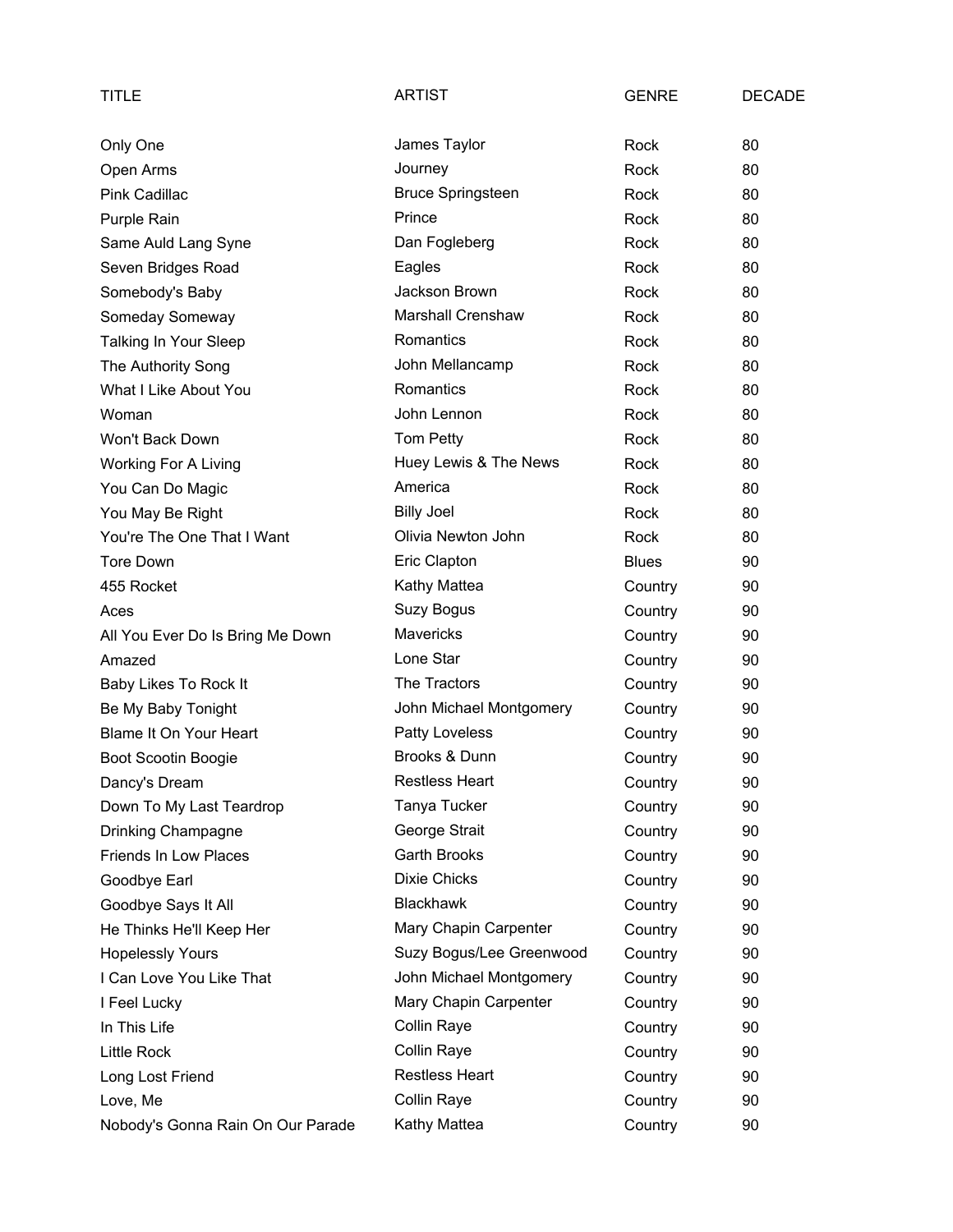| TITLE                             | <b>ARTIST</b>            | <b>GENRE</b> | <b>DECADE</b> |
|-----------------------------------|--------------------------|--------------|---------------|
| Only One                          | James Taylor             | Rock         | 80            |
| Open Arms                         | Journey                  | Rock         | 80            |
| Pink Cadillac                     | <b>Bruce Springsteen</b> | Rock         | 80            |
| Purple Rain                       | Prince                   | Rock         | 80            |
| Same Auld Lang Syne               | Dan Fogleberg            | Rock         | 80            |
| Seven Bridges Road                | Eagles                   | Rock         | 80            |
| Somebody's Baby                   | Jackson Brown            | Rock         | 80            |
| Someday Someway                   | <b>Marshall Crenshaw</b> | Rock         | 80            |
| Talking In Your Sleep             | Romantics                | Rock         | 80            |
| The Authority Song                | John Mellancamp          | Rock         | 80            |
| What I Like About You             | Romantics                | Rock         | 80            |
| Woman                             | John Lennon              | Rock         | 80            |
| Won't Back Down                   | Tom Petty                | Rock         | 80            |
| <b>Working For A Living</b>       | Huey Lewis & The News    | <b>Rock</b>  | 80            |
| You Can Do Magic                  | America                  | Rock         | 80            |
| You May Be Right                  | <b>Billy Joel</b>        | Rock         | 80            |
| You're The One That I Want        | Olivia Newton John       | Rock         | 80            |
| Tore Down                         | Eric Clapton             | <b>Blues</b> | 90            |
| 455 Rocket                        | Kathy Mattea             | Country      | 90            |
| Aces                              | Suzy Bogus               | Country      | 90            |
| All You Ever Do Is Bring Me Down  | Mavericks                | Country      | 90            |
| Amazed                            | Lone Star                | Country      | 90            |
| Baby Likes To Rock It             | The Tractors             | Country      | 90            |
| Be My Baby Tonight                | John Michael Montgomery  | Country      | 90            |
| <b>Blame It On Your Heart</b>     | <b>Patty Loveless</b>    | Country      | 90            |
| <b>Boot Scootin Boogie</b>        | Brooks & Dunn            | Country      | 90            |
| Dancy's Dream                     | <b>Restless Heart</b>    | Country      | 90            |
| Down To My Last Teardrop          | Tanya Tucker             | Country      | 90            |
| Drinking Champagne                | George Strait            | Country      | 90            |
| Friends In Low Places             | Garth Brooks             | Country      | 90            |
| Goodbye Earl                      | <b>Dixie Chicks</b>      | Country      | 90            |
| Goodbye Says It All               | <b>Blackhawk</b>         | Country      | 90            |
| He Thinks He'll Keep Her          | Mary Chapin Carpenter    | Country      | 90            |
| <b>Hopelessly Yours</b>           | Suzy Bogus/Lee Greenwood | Country      | 90            |
| I Can Love You Like That          | John Michael Montgomery  | Country      | 90            |
| I Feel Lucky                      | Mary Chapin Carpenter    | Country      | 90            |
| In This Life                      | Collin Raye              | Country      | 90            |
| <b>Little Rock</b>                | Collin Raye              | Country      | 90            |
| Long Lost Friend                  | <b>Restless Heart</b>    | Country      | 90            |
| Love, Me                          | Collin Raye              | Country      | 90            |
| Nobody's Gonna Rain On Our Parade | Kathy Mattea             | Country      | 90            |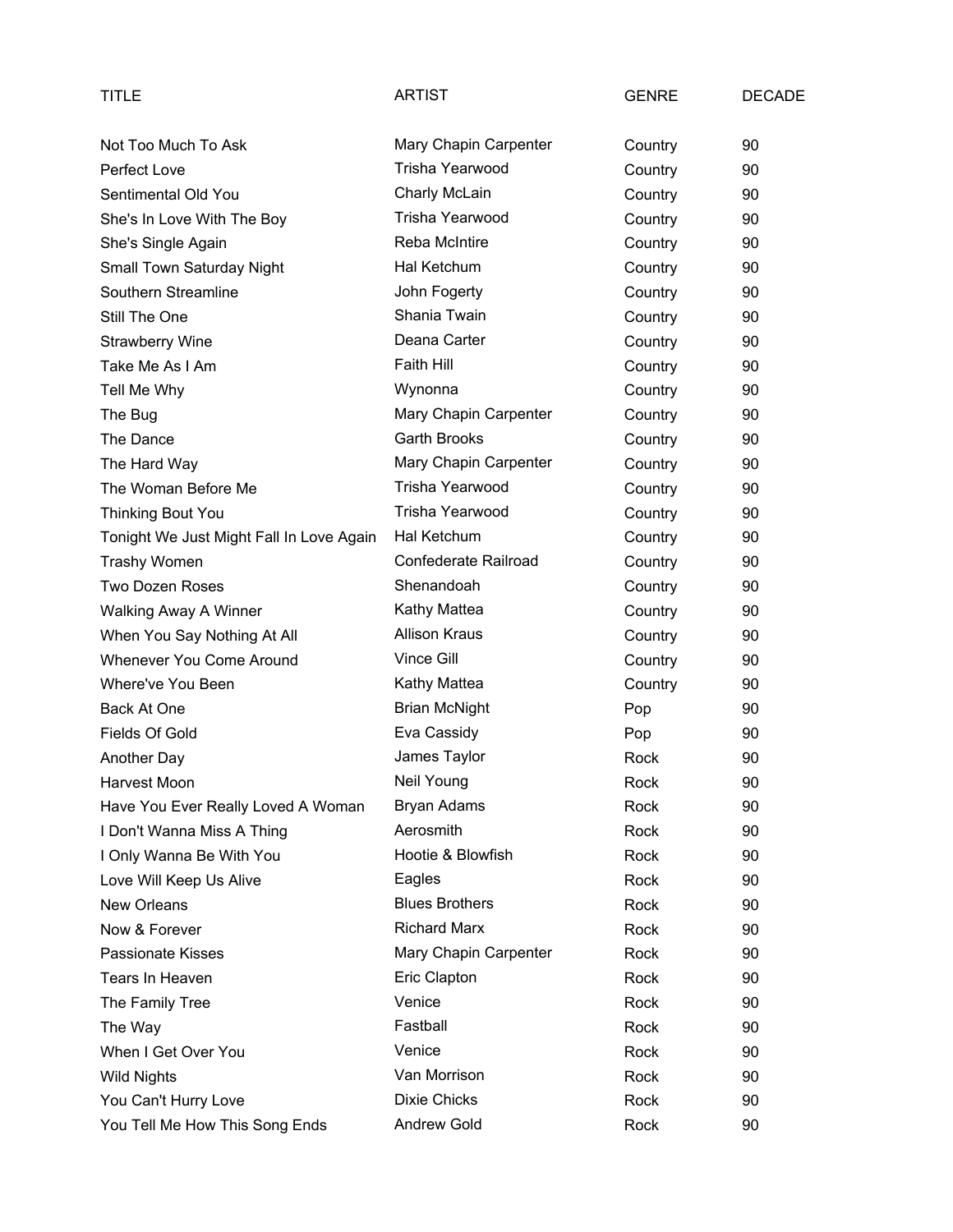| TITLE                                    | <b>ARTIST</b>         | <b>GENRE</b> | <b>DECADE</b> |
|------------------------------------------|-----------------------|--------------|---------------|
| Not Too Much To Ask                      | Mary Chapin Carpenter | Country      | 90            |
| Perfect Love                             | Trisha Yearwood       | Country      | 90            |
| Sentimental Old You                      | Charly McLain         | Country      | 90            |
| She's In Love With The Boy               | Trisha Yearwood       | Country      | 90            |
| She's Single Again                       | <b>Reba McIntire</b>  | Country      | 90            |
| Small Town Saturday Night                | Hal Ketchum           | Country      | 90            |
| Southern Streamline                      | John Fogerty          | Country      | 90            |
| Still The One                            | Shania Twain          | Country      | 90            |
| <b>Strawberry Wine</b>                   | Deana Carter          | Country      | 90            |
| Take Me As I Am                          | Faith Hill            | Country      | 90            |
| Tell Me Why                              | Wynonna               | Country      | 90            |
| The Bug                                  | Mary Chapin Carpenter | Country      | 90            |
| The Dance                                | <b>Garth Brooks</b>   | Country      | 90            |
| The Hard Way                             | Mary Chapin Carpenter | Country      | 90            |
| The Woman Before Me                      | Trisha Yearwood       | Country      | 90            |
| <b>Thinking Bout You</b>                 | Trisha Yearwood       | Country      | 90            |
| Tonight We Just Might Fall In Love Again | Hal Ketchum           | Country      | 90            |
| <b>Trashy Women</b>                      | Confederate Railroad  | Country      | 90            |
| <b>Two Dozen Roses</b>                   | Shenandoah            | Country      | 90            |
| Walking Away A Winner                    | Kathy Mattea          | Country      | 90            |
| When You Say Nothing At All              | <b>Allison Kraus</b>  | Country      | 90            |
| Whenever You Come Around                 | Vince Gill            | Country      | 90            |
| Where've You Been                        | Kathy Mattea          | Country      | 90            |
| Back At One                              | <b>Brian McNight</b>  | Pop          | 90            |
| Fields Of Gold                           | Eva Cassidy           | Pop          | 90            |
| Another Day                              | James Taylor          | Rock         | 90            |
| Harvest Moon                             | Neil Young            | Rock         | 90            |
| Have You Ever Really Loved A Woman       | <b>Bryan Adams</b>    | Rock         | 90            |
| I Don't Wanna Miss A Thing               | Aerosmith             | Rock         | 90            |
| I Only Wanna Be With You                 | Hootie & Blowfish     | Rock         | 90            |
| Love Will Keep Us Alive                  | Eagles                | Rock         | 90            |
| New Orleans                              | <b>Blues Brothers</b> | Rock         | 90            |
| Now & Forever                            | <b>Richard Marx</b>   | Rock         | 90            |
| <b>Passionate Kisses</b>                 | Mary Chapin Carpenter | Rock         | 90            |
| Tears In Heaven                          | Eric Clapton          | Rock         | 90            |
| The Family Tree                          | Venice                | Rock         | 90            |
| The Way                                  | Fastball              | Rock         | 90            |
| When I Get Over You                      | Venice                | Rock         | 90            |
| <b>Wild Nights</b>                       | Van Morrison          | Rock         | 90            |
| You Can't Hurry Love                     | <b>Dixie Chicks</b>   | Rock         | 90            |
| You Tell Me How This Song Ends           | Andrew Gold           | Rock         | 90            |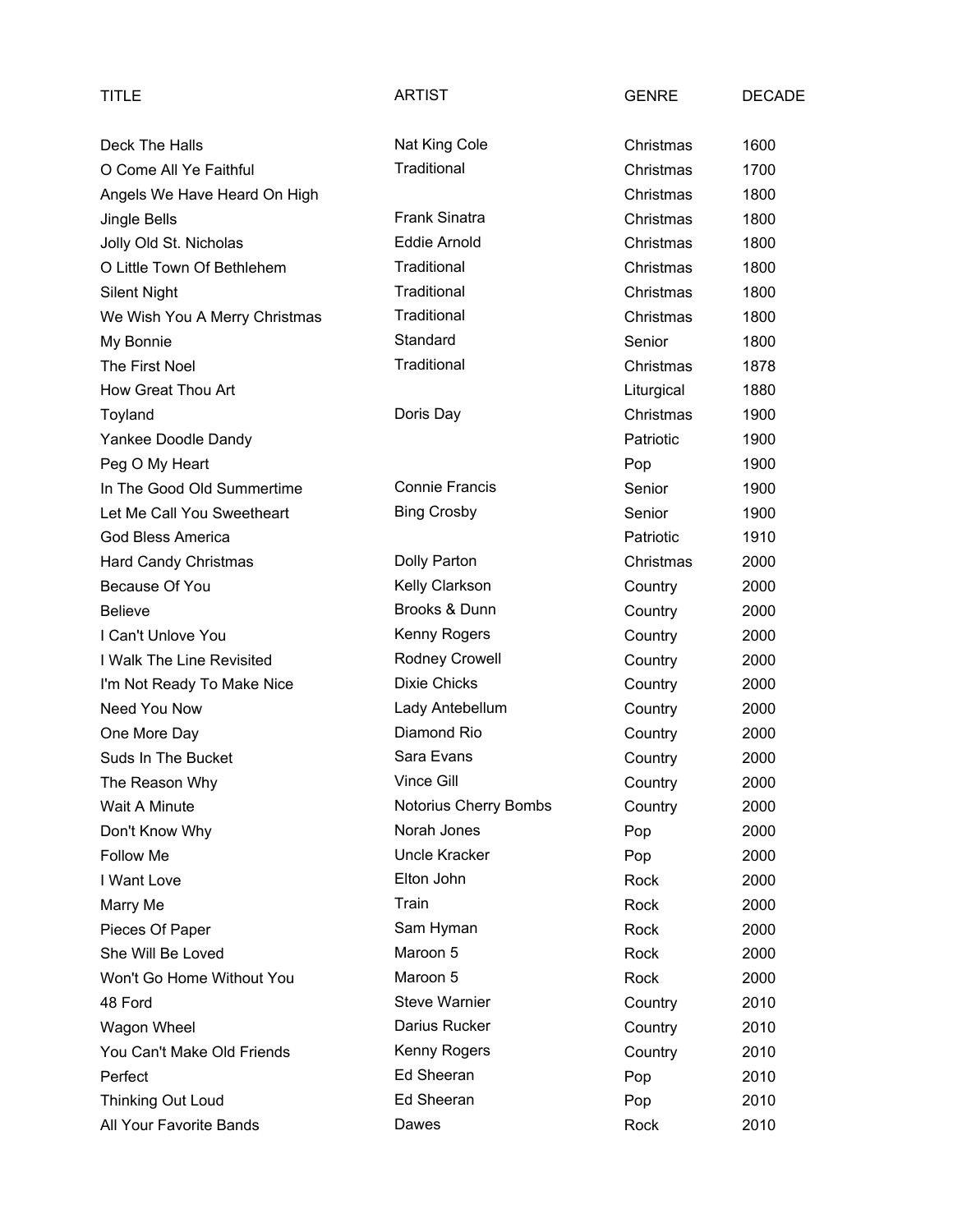| TITLE                         | <b>ARTIST</b>         | <b>GENRE</b> | <b>DECADE</b> |
|-------------------------------|-----------------------|--------------|---------------|
| Deck The Halls                | Nat King Cole         | Christmas    | 1600          |
| O Come All Ye Faithful        | Traditional           | Christmas    | 1700          |
| Angels We Have Heard On High  |                       | Christmas    | 1800          |
| Jingle Bells                  | <b>Frank Sinatra</b>  | Christmas    | 1800          |
| Jolly Old St. Nicholas        | Eddie Arnold          | Christmas    | 1800          |
| O Little Town Of Bethlehem    | Traditional           | Christmas    | 1800          |
| <b>Silent Night</b>           | Traditional           | Christmas    | 1800          |
| We Wish You A Merry Christmas | Traditional           | Christmas    | 1800          |
| My Bonnie                     | Standard              | Senior       | 1800          |
| The First Noel                | Traditional           | Christmas    | 1878          |
| How Great Thou Art            |                       | Liturgical   | 1880          |
| Toyland                       | Doris Day             | Christmas    | 1900          |
| Yankee Doodle Dandy           |                       | Patriotic    | 1900          |
| Peg O My Heart                |                       | Pop          | 1900          |
| In The Good Old Summertime    | <b>Connie Francis</b> | Senior       | 1900          |
| Let Me Call You Sweetheart    | <b>Bing Crosby</b>    | Senior       | 1900          |
| <b>God Bless America</b>      |                       | Patriotic    | 1910          |
| <b>Hard Candy Christmas</b>   | Dolly Parton          | Christmas    | 2000          |
| Because Of You                | Kelly Clarkson        | Country      | 2000          |
| <b>Believe</b>                | Brooks & Dunn         | Country      | 2000          |
| I Can't Unlove You            | Kenny Rogers          | Country      | 2000          |
| I Walk The Line Revisited     | Rodney Crowell        | Country      | 2000          |
| I'm Not Ready To Make Nice    | <b>Dixie Chicks</b>   | Country      | 2000          |
| Need You Now                  | Lady Antebellum       | Country      | 2000          |
| One More Day                  | Diamond Rio           | Country      | 2000          |
| Suds In The Bucket            | Sara Evans            | Country      | 2000          |
| The Reason Why                | Vince Gill            | Country      | 2000          |
| Wait A Minute                 | Notorius Cherry Bombs | Country      | 2000          |
| Don't Know Why                | Norah Jones           | Pop          | 2000          |
| Follow Me                     | Uncle Kracker         | Pop          | 2000          |
| I Want Love                   | Elton John            | Rock         | 2000          |
| Marry Me                      | Train                 | Rock         | 2000          |
| Pieces Of Paper               | Sam Hyman             | Rock         | 2000          |
| She Will Be Loved             | Maroon 5              | Rock         | 2000          |
| Won't Go Home Without You     | Maroon 5              | Rock         | 2000          |
| 48 Ford                       | <b>Steve Warnier</b>  | Country      | 2010          |
| Wagon Wheel                   | Darius Rucker         | Country      | 2010          |
| You Can't Make Old Friends    | Kenny Rogers          | Country      | 2010          |
| Perfect                       | Ed Sheeran            | Pop          | 2010          |
| Thinking Out Loud             | Ed Sheeran            | Pop          | 2010          |
| All Your Favorite Bands       | Dawes                 | Rock         | 2010          |